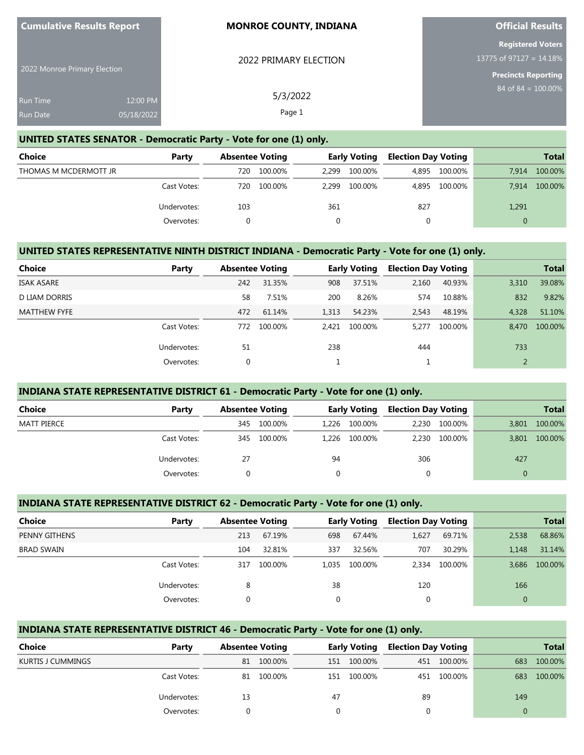| 2022 Monroe Primary Election |            | 2022 PRIMARY ELECTION | <b>Registered Voters</b><br>13775 of $971\overline{27} = 14.18\%$<br><b>Precincts Reporting</b> |
|------------------------------|------------|-----------------------|-------------------------------------------------------------------------------------------------|
| Run Time                     | 12:00 PM   | 5/3/2022              | 84 of 84 = $100.00\%$                                                                           |
| <b>Run Date</b>              | 05/18/2022 | Page 1                |                                                                                                 |

**Official Results**

#### **UNITED STATES SENATOR - Democratic Party - Vote for one (1) only.**

**Cumulative Results Report**

| Choice                | Party       | <b>Absentee Voting</b> |         | <b>Early Voting</b> |         | <b>Election Day Voting</b> |               |          | <b>Total</b> |
|-----------------------|-------------|------------------------|---------|---------------------|---------|----------------------------|---------------|----------|--------------|
| THOMAS M MCDERMOTT JR |             | 720                    | 100.00% | 2.299               | 100.00% | 4,895                      | 100.00%       | 7.914    | 100.00%      |
|                       | Cast Votes: | 720                    | 100.00% | 2.299               | 100.00% |                            | 4.895 100.00% | 7.914    | 100.00%      |
|                       | Undervotes: | 103                    |         | 361                 |         | 827                        |               | 1,291    |              |
|                       | Overvotes:  |                        |         |                     |         | 0                          |               | $\Omega$ |              |

# **UNITED STATES REPRESENTATIVE NINTH DISTRICT INDIANA - Democratic Party - Vote for one (1) only.**

| <b>Choice</b>       | Party       | <b>Absentee Voting</b> |         |       | <b>Early Voting</b> | <b>Election Day Voting</b> |         |       | <b>Total</b> |
|---------------------|-------------|------------------------|---------|-------|---------------------|----------------------------|---------|-------|--------------|
| <b>ISAK ASARE</b>   |             | 242                    | 31.35%  | 908   | 37.51%              | 2,160                      | 40.93%  | 3,310 | 39.08%       |
| D LIAM DORRIS       |             | 58                     | 7.51%   | 200   | 8.26%               | 574                        | 10.88%  | 832   | 9.82%        |
| <b>MATTHEW FYFE</b> |             | 472                    | 61.14%  | 1,313 | 54.23%              | 2,543                      | 48.19%  | 4.328 | 51.10%       |
|                     | Cast Votes: | 772                    | 100.00% | 2.421 | 100.00%             | 5.277                      | 100.00% | 8.470 | 100.00%      |
|                     | Undervotes: | 51                     |         | 238   |                     | 444                        |         | 733   |              |
|                     | Overvotes:  | 0                      |         |       |                     |                            |         |       |              |

#### **INDIANA STATE REPRESENTATIVE DISTRICT 61 - Democratic Party - Vote for one (1) only.**

| <b>Choice</b> | Party       | <b>Absentee Voting</b> |         | <b>Early Voting</b> |               | <b>Election Day Voting</b> |               |          | <b>Total</b> |
|---------------|-------------|------------------------|---------|---------------------|---------------|----------------------------|---------------|----------|--------------|
| MATT PIERCE   |             | 345                    | 100.00% |                     | 1,226 100.00% | 2.230                      | 100.00%       | 3.801    | 100.00%      |
|               | Cast Votes: | 345                    | 100.00% |                     | 1.226 100.00% |                            | 2.230 100.00% | 3,801    | 100.00%      |
|               | Undervotes: | 27                     |         | 94                  |               | 306                        |               | 427      |              |
|               | Overvotes:  |                        |         |                     |               | 0                          |               | $\Omega$ |              |

#### **INDIANA STATE REPRESENTATIVE DISTRICT 62 - Democratic Party - Vote for one (1) only.**

| <b>Choice</b>     | Party       |     | <b>Absentee Voting</b> |              | <b>Early Voting</b> |       | <b>Election Day Voting</b> |       | <b>Total</b> |
|-------------------|-------------|-----|------------------------|--------------|---------------------|-------|----------------------------|-------|--------------|
| PENNY GITHENS     |             | 213 | 67.19%                 | 698          | 67.44%              | 1,627 | 69.71%                     | 2,538 | 68.86%       |
| <b>BRAD SWAIN</b> |             | 104 | 32.81%                 | 337          | 32.56%              | 707   | 30.29%                     | 1.148 | 31.14%       |
|                   | Cast Votes: | 317 | 100.00%                | 1.035        | 100.00%             | 2.334 | 100.00%                    | 3.686 | 100.00%      |
|                   | Undervotes: | 8   |                        | 38           |                     | 120   |                            | 166   |              |
|                   | Overvotes:  |     |                        | $\mathbf{0}$ |                     |       |                            |       |              |

### **INDIANA STATE REPRESENTATIVE DISTRICT 46 - Democratic Party - Vote for one (1) only.**

| <b>Choice</b>     | Party       | <b>Absentee Voting</b> |         | <b>Early Voting</b> |         | <b>Election Day Voting</b> |             |     | <b>Total</b> |
|-------------------|-------------|------------------------|---------|---------------------|---------|----------------------------|-------------|-----|--------------|
| KURTIS J CUMMINGS |             | 81                     | 100.00% | 151                 | 100.00% |                            | 451 100.00% | 683 | 100.00%      |
|                   | Cast Votes: | 81                     | 100.00% | 151.                | 100.00% |                            | 451 100.00% | 683 | 100.00%      |
|                   | Undervotes: | 13                     |         | 47                  |         | 89                         |             | 149 |              |
|                   | Overvotes:  |                        |         |                     |         |                            |             |     |              |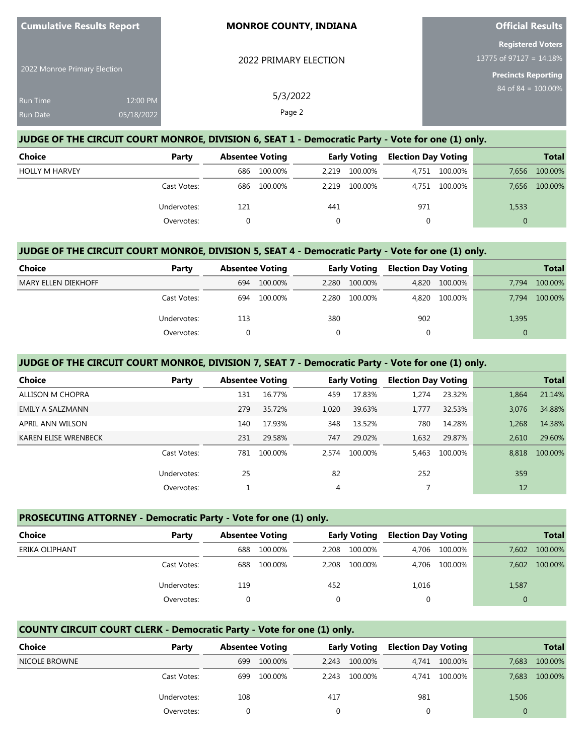| <b>Cumulative Results Report</b> |            | <b>MONROE COUNTY, INDIANA</b> | <b>Official Results</b>                                |
|----------------------------------|------------|-------------------------------|--------------------------------------------------------|
|                                  |            | 2022 PRIMARY ELECTION         | <b>Registered Voters</b><br>13775 of 97127 = $14.18\%$ |
| 2022 Monroe Primary Election     |            |                               | <b>Precincts Reporting</b>                             |
| Run Time                         | 12:00 PM   | 5/3/2022                      | $84$ of $84 = 100.00\%$                                |
| <b>Run Date</b>                  | 05/18/2022 | Page 2                        |                                                        |
|                                  |            |                               |                                                        |

# **JUDGE OF THE CIRCUIT COURT MONROE, DIVISION 6, SEAT 1 - Democratic Party - Vote for one (1) only.**

| Choice                | Party       | <b>Absentee Voting</b> |         | <b>Early Voting</b> |         | <b>Election Day Voting</b> |               | <b>Total</b> |         |
|-----------------------|-------------|------------------------|---------|---------------------|---------|----------------------------|---------------|--------------|---------|
| <b>HOLLY M HARVEY</b> |             | 686                    | 100.00% | 2.219               | 100.00% | 4,751                      | 100.00%       | 7,656        | 100.00% |
|                       | Cast Votes: | 686                    | 100.00% | 2.219               | 100.00% |                            | 4.751 100.00% | 7,656        | 100.00% |
|                       | Undervotes: | 121                    |         | 441                 |         | 971                        |               | 1,533        |         |
|                       | Overvotes:  |                        |         |                     |         | 0                          |               | $\Omega$     |         |

#### **JUDGE OF THE CIRCUIT COURT MONROE, DIVISION 5, SEAT 4 - Democratic Party - Vote for one (1) only.**

| <b>Choice</b>              | Party       | <b>Absentee Voting</b> |         | <b>Early Voting</b> |         | <b>Election Day Voting</b> |         |       | <b>Total</b> |
|----------------------------|-------------|------------------------|---------|---------------------|---------|----------------------------|---------|-------|--------------|
| <b>MARY ELLEN DIEKHOFF</b> |             | 694                    | 100.00% | 2.280               | 100.00% | 4,820                      | 100.00% | 7.794 | 100.00%      |
|                            | Cast Votes: | 694                    | 100.00% | 2.280               | 100.00% | 4,820                      | 100.00% | 7.794 | 100.00%      |
|                            | Undervotes: | 113                    |         | 380                 |         | 902                        |         | 1,395 |              |
|                            | Overvotes:  |                        |         |                     |         |                            |         |       |              |

### **JUDGE OF THE CIRCUIT COURT MONROE, DIVISION 7, SEAT 7 - Democratic Party - Vote for one (1) only.**

| Choice               | Party       | <b>Absentee Voting</b> |         | <b>Early Voting</b> |         | <b>Election Day Voting</b> |         |       | <b>Total</b> |
|----------------------|-------------|------------------------|---------|---------------------|---------|----------------------------|---------|-------|--------------|
| ALLISON M CHOPRA     |             | 131                    | 16.77%  | 459                 | 17.83%  | 1.274                      | 23.32%  | 1.864 | 21.14%       |
| EMILY A SALZMANN     |             | 279                    | 35.72%  | 1,020               | 39.63%  | 1,777                      | 32.53%  | 3.076 | 34.88%       |
| APRIL ANN WILSON     |             | 140                    | 17.93%  | 348                 | 13.52%  | 780                        | 14.28%  | 1.268 | 14.38%       |
| KAREN ELISE WRENBECK |             | 231                    | 29.58%  | 747                 | 29.02%  | 1,632                      | 29.87%  | 2.610 | 29.60%       |
|                      | Cast Votes: | 781                    | 100.00% | 2.574               | 100.00% | 5.463                      | 100.00% | 8.818 | 100.00%      |
|                      | Undervotes: | 25                     |         | 82                  |         | 252                        |         | 359   |              |
|                      | Overvotes:  |                        |         | 4                   |         |                            |         | 12    |              |

### **PROSECUTING ATTORNEY - Democratic Party - Vote for one (1) only.**

| Choice         | Party       | <b>Absentee Voting</b> |         | <b>Early Voting</b> |         | <b>Election Day Voting</b> |               |              | <b>Total</b> |
|----------------|-------------|------------------------|---------|---------------------|---------|----------------------------|---------------|--------------|--------------|
| ERIKA OLIPHANT |             | 688                    | 100.00% | 2.208               | 100.00% | 4.706                      | 100.00%       | 7.602        | 100.00%      |
|                | Cast Votes: | 688                    | 100.00% | 2.208               | 100.00% |                            | 4,706 100.00% | 7.602        | 100.00%      |
|                | Undervotes: | 119                    |         | 452                 |         | 1,016                      |               | 1,587        |              |
|                | Overvotes:  |                        |         |                     |         | 0                          |               | $\mathbf{0}$ |              |

# **COUNTY CIRCUIT COURT CLERK - Democratic Party - Vote for one (1) only.**

| <b>Choice</b> | Party       | <b>Absentee Voting</b> |         | <b>Early Voting</b> |         | <b>Election Day Voting</b> |               | <b>Total</b> |         |
|---------------|-------------|------------------------|---------|---------------------|---------|----------------------------|---------------|--------------|---------|
| NICOLE BROWNE |             | 699                    | 100.00% | 2.243               | 100.00% |                            | 4,741 100.00% | 7.683        | 100.00% |
|               | Cast Votes: | 699                    | 100.00% | 2.243               | 100.00% |                            | 4,741 100.00% | 7,683        | 100.00% |
|               | Undervotes: | 108                    |         | 417                 |         | 981                        |               | 1,506        |         |
|               | Overvotes:  |                        |         |                     |         |                            |               |              |         |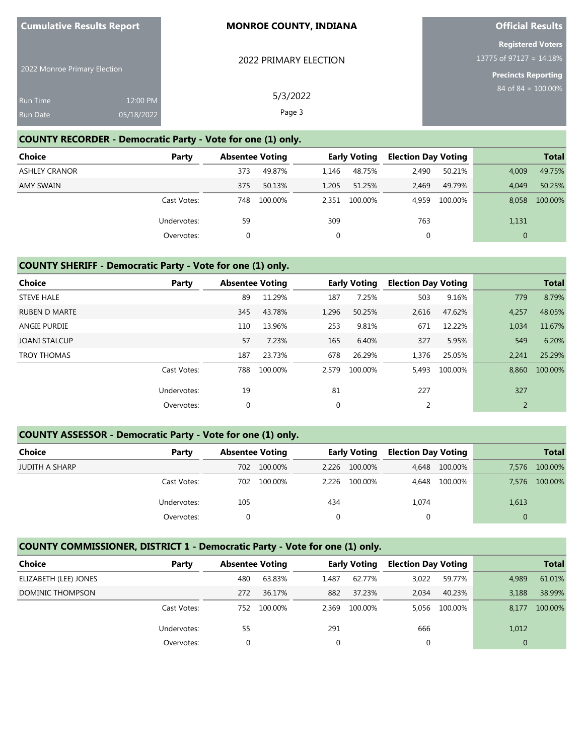| <b>Cumulative Results Report</b>   |                        | <b>MONROE COUNTY, INDIANA</b> | <b>Official Results</b>                                                              |
|------------------------------------|------------------------|-------------------------------|--------------------------------------------------------------------------------------|
| 2022 Monroe Primary Election       |                        | 2022 PRIMARY ELECTION         | <b>Registered Voters</b><br>13775 of 97127 = $14.18\%$<br><b>Precincts Reporting</b> |
| <b>Run Time</b><br><b>Run Date</b> | 12:00 PM<br>05/18/2022 | 5/3/2022<br>Page 3            | $84 \text{ of } 84 = 100.00\%$                                                       |

**Official Results**

#### **COUNTY RECORDER - Democratic Party - Vote for one (1) only.**

**Cumulative Results Report**

| <b>Choice</b>        | Party       | <b>Absentee Voting</b> |         |       | <b>Early Voting</b> | <b>Election Day Voting</b> |         |                | <b>Total</b> |
|----------------------|-------------|------------------------|---------|-------|---------------------|----------------------------|---------|----------------|--------------|
| <b>ASHLEY CRANOR</b> |             | 373                    | 49.87%  | 1.146 | 48.75%              | 2,490                      | 50.21%  | 4,009          | 49.75%       |
| AMY SWAIN            |             | 375                    | 50.13%  | 1.205 | 51.25%              | 2.469                      | 49.79%  | 4.049          | 50.25%       |
|                      | Cast Votes: | 748                    | 100.00% |       | 2,351 100.00%       | 4.959                      | 100.00% | 8.058          | 100.00%      |
|                      | Undervotes: | 59                     |         | 309   |                     | 763                        |         | 1,131          |              |
|                      | Overvotes:  |                        |         |       |                     |                            |         | $\overline{0}$ |              |

### **COUNTY SHERIFF - Democratic Party - Vote for one (1) only.**

| <b>Choice</b>        | Party       | <b>Absentee Voting</b> |         |             | <b>Early Voting</b> | <b>Election Day Voting</b> |         |                | <b>Total</b> |
|----------------------|-------------|------------------------|---------|-------------|---------------------|----------------------------|---------|----------------|--------------|
| <b>STEVE HALE</b>    |             | 89                     | 11.29%  | 187         | 7.25%               | 503                        | 9.16%   | 779            | 8.79%        |
| <b>RUBEN D MARTE</b> |             | 345                    | 43.78%  | 1,296       | 50.25%              | 2,616                      | 47.62%  | 4,257          | 48.05%       |
| <b>ANGIE PURDIE</b>  |             | 110                    | 13.96%  | 253         | 9.81%               | 671                        | 12.22%  | 1,034          | 11.67%       |
| <b>JOANI STALCUP</b> |             | 57                     | 7.23%   | 165         | 6.40%               | 327                        | 5.95%   | 549            | 6.20%        |
| <b>TROY THOMAS</b>   |             | 187                    | 23.73%  | 678         | 26.29%              | 1,376                      | 25.05%  | 2,241          | 25.29%       |
|                      | Cast Votes: | 788                    | 100.00% | 2.579       | 100.00%             | 5,493                      | 100.00% | 8,860          | 100.00%      |
|                      | Undervotes: | 19                     |         | 81          |                     | 227                        |         | 327            |              |
|                      | Overvotes:  | $\mathbf 0$            |         | $\mathbf 0$ |                     | 2                          |         | $\overline{2}$ |              |

# **COUNTY ASSESSOR - Democratic Party - Vote for one (1) only.**

| <b>Choice</b>         | Party       | <b>Absentee Voting</b> |         | <b>Early Voting</b> |         | <b>Election Day Voting</b> |         |       | <b>Total</b> |
|-----------------------|-------------|------------------------|---------|---------------------|---------|----------------------------|---------|-------|--------------|
| <b>JUDITH A SHARP</b> |             | 702                    | 100.00% | 2.226               | 100.00% | 4,648                      | 100.00% | 7.576 | 100.00%      |
|                       | Cast Votes: | 702                    | 100.00% | 2.226               | 100.00% | 4,648                      | 100.00% | 7.576 | 100.00%      |
|                       | Undervotes: | 105                    |         | 434                 |         | 1,074                      |         | 1,613 |              |
|                       | Overvotes:  |                        |         |                     |         |                            |         |       |              |

### **COUNTY COMMISSIONER, DISTRICT 1 - Democratic Party - Vote for one (1) only.**

| Choice                | Party       |     | <b>Absentee Voting</b> |       | <b>Early Voting</b> | <b>Election Day Voting</b> |               |                | <b>Total</b> |
|-----------------------|-------------|-----|------------------------|-------|---------------------|----------------------------|---------------|----------------|--------------|
| ELIZABETH (LEE) JONES |             | 480 | 63.83%                 | 1.487 | 62.77%              | 3,022                      | 59.77%        | 4,989          | 61.01%       |
| DOMINIC THOMPSON      |             | 272 | 36.17%                 | 882   | 37.23%              | 2.034                      | 40.23%        | 3.188          | 38.99%       |
|                       | Cast Votes: | 752 | 100.00%                | 2.369 | 100.00%             |                            | 5.056 100.00% | 8.177          | 100.00%      |
|                       | Undervotes: | 55  |                        | 291   |                     | 666                        |               | 1,012          |              |
|                       | Overvotes:  |     |                        |       |                     |                            |               | $\overline{0}$ |              |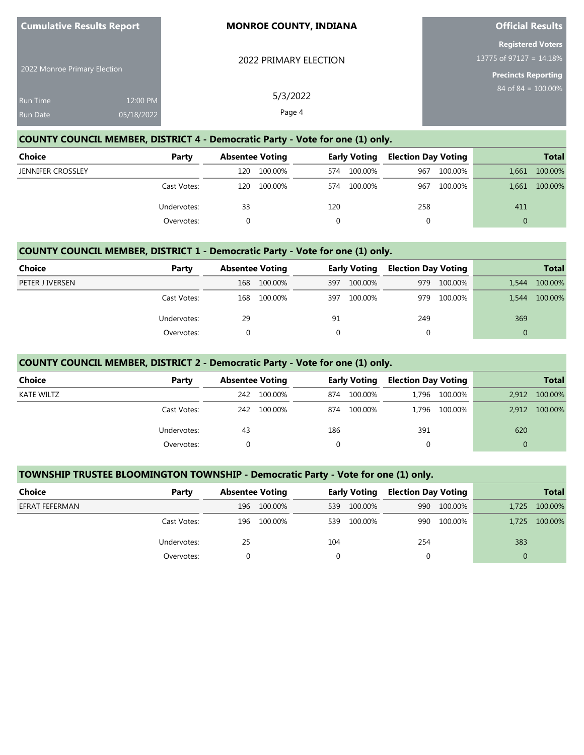| <b>Cumulative Results Report</b>   |                        | <b>MONROE COUNTY, INDIANA</b> | <b>Official Results</b>                                                       |
|------------------------------------|------------------------|-------------------------------|-------------------------------------------------------------------------------|
| 2022 Monroe Primary Election       |                        | 2022 PRIMARY ELECTION         | <b>Registered Voters</b><br>13775 of 97127 = $14.18\%$<br>Precincts Reporting |
| <b>Run Time</b><br><b>Run Date</b> | 12:00 PM<br>05/18/2022 | 5/3/2022<br>Page 4            | $84$ of $84 = 100.00\%$                                                       |

**Official Results**

# **COUNTY COUNCIL MEMBER, DISTRICT 4 - Democratic Party - Vote for one (1) only.**

**Cumulative Results Report**

| <b>Choice</b>            | Party       | <b>Absentee Voting</b> |         |     | Early Voting | <b>Election Day Voting</b> |         |          | <b>Total</b> |
|--------------------------|-------------|------------------------|---------|-----|--------------|----------------------------|---------|----------|--------------|
| <b>JENNIFER CROSSLEY</b> |             | 120                    | 100.00% | 574 | 100.00%      | 967                        | 100.00% | 1.661    | 100.00%      |
|                          | Cast Votes: | 120                    | 100.00% | 574 | 100.00%      | 967                        | 100.00% | 1,661    | 100.00%      |
|                          | Undervotes: | 33                     |         | 120 |              | 258                        |         | 411      |              |
|                          | Overvotes:  |                        |         |     |              |                            |         | $\Omega$ |              |

### **COUNTY COUNCIL MEMBER, DISTRICT 1 - Democratic Party - Vote for one (1) only.**

| Choice          | Party       | <b>Absentee Voting</b> |         |     | <b>Early Voting</b> | <b>Election Day Voting</b> |         |       | <b>Total</b> |
|-----------------|-------------|------------------------|---------|-----|---------------------|----------------------------|---------|-------|--------------|
| PETER J IVERSEN |             | 168                    | 100.00% | 397 | 100.00%             | 979                        | 100.00% | 1.544 | 100.00%      |
|                 | Cast Votes: | 168                    | 100.00% | 397 | 100.00%             | 979                        | 100.00% | 1.544 | 100.00%      |
|                 | Undervotes: | 29                     |         | 91  |                     | 249                        |         | 369   |              |
|                 | Overvotes:  |                        |         |     |                     |                            |         |       |              |

### **COUNTY COUNCIL MEMBER, DISTRICT 2 - Democratic Party - Vote for one (1) only.**

| <b>Choice</b>     | Party       |     | <b>Absentee Voting</b> |          | <b>Early Voting</b> | <b>Election Day Voting</b> |               |          | <b>Total</b> |
|-------------------|-------------|-----|------------------------|----------|---------------------|----------------------------|---------------|----------|--------------|
| <b>KATE WILTZ</b> |             | 242 | 100.00%                | 874      | 100.00%             |                            | 1,796 100.00% | 2.912    | 100.00%      |
|                   | Cast Votes: | 242 | 100.00%                | 874      | 100.00%             |                            | 1,796 100.00% | 2.912    | 100.00%      |
|                   | Undervotes: | 43  |                        | 186      |                     | 391                        |               | 620      |              |
|                   | Overvotes:  |     |                        | $\Omega$ |                     | 0                          |               | $\Omega$ |              |

### **TOWNSHIP TRUSTEE BLOOMINGTON TOWNSHIP - Democratic Party - Vote for one (1) only.**

| Choice         | Party       |     | <b>Absentee Voting</b> |     | <b>Early Voting</b> |     | <b>Election Day Voting</b> |       | <b>Total</b> |
|----------------|-------------|-----|------------------------|-----|---------------------|-----|----------------------------|-------|--------------|
| EFRAT FEFERMAN |             | 196 | 100.00%                | 539 | 100.00%             |     | 990 100.00%                | 1.725 | 100.00%      |
|                | Cast Votes: | 196 | 100.00%                | 539 | 100.00%             | 990 | 100.00%                    | 1.725 | 100.00%      |
|                | Undervotes: | 25  |                        | 104 |                     | 254 |                            | 383   |              |
|                | Overvotes:  |     |                        |     |                     |     |                            |       |              |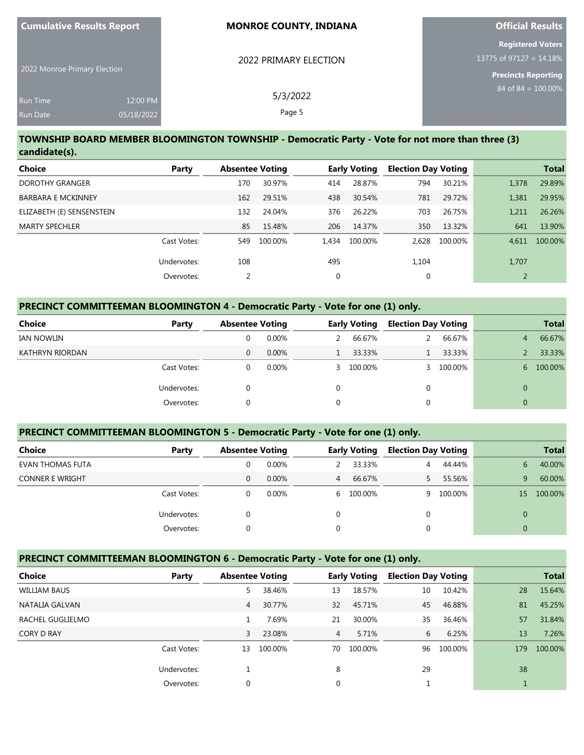| <b>Cumulative Results Report</b>   |                        | <b>MONROE COUNTY, INDIANA</b> | <b>Official Results</b>                                                              |
|------------------------------------|------------------------|-------------------------------|--------------------------------------------------------------------------------------|
| 2022 Monroe Primary Election       |                        | 2022 PRIMARY ELECTION         | <b>Registered Voters</b><br>13775 of 97127 = $14.18\%$<br><b>Precincts Reporting</b> |
| <b>Run Time</b><br><b>Run Date</b> | 12:00 PM<br>05/18/2022 | 5/3/2022<br>Page 5            | 84 of 84 = $100.00\%$                                                                |

### **TOWNSHIP BOARD MEMBER BLOOMINGTON TOWNSHIP - Democratic Party - Vote for not more than three (3) candidate(s).**

| Choice                    | Party       | <b>Absentee Voting</b> |         |          | <b>Early Voting</b> | <b>Election Day Voting</b> |         |                | <b>Total</b> |
|---------------------------|-------------|------------------------|---------|----------|---------------------|----------------------------|---------|----------------|--------------|
| DOROTHY GRANGER           |             | 170                    | 30.97%  | 414      | 28.87%              | 794                        | 30.21%  | 1,378          | 29.89%       |
| <b>BARBARA E MCKINNEY</b> |             | 162                    | 29.51%  | 438      | 30.54%              | 781                        | 29.72%  | 1.381          | 29.95%       |
| ELIZABETH (E) SENSENSTEIN |             | 132                    | 24.04%  | 376      | 26.22%              | 703                        | 26.75%  | 1.211          | 26.26%       |
| <b>MARTY SPECHLER</b>     |             | 85                     | 15.48%  | 206      | 14.37%              | 350                        | 13.32%  | 641            | 13.90%       |
|                           | Cast Votes: | 549                    | 100.00% | 1.434    | 100.00%             | 2.628                      | 100.00% | 4.611          | 100.00%      |
|                           | Undervotes: | 108                    |         | 495      |                     | 1,104                      |         | 1,707          |              |
|                           | Overvotes:  | 2                      |         | $\Omega$ |                     | 0                          |         | $\overline{2}$ |              |

### **PRECINCT COMMITTEEMAN BLOOMINGTON 4 - Democratic Party - Vote for one (1) only.**

| Choice<br>Party | <b>Absentee Voting</b> |          |          | <b>Early Voting</b> |   | <b>Election Day Voting</b> |   | <b>Total</b> |
|-----------------|------------------------|----------|----------|---------------------|---|----------------------------|---|--------------|
| IAN NOWLIN      |                        | 0.00%    |          | 66.67%              |   | 66.67%                     | 4 | 66.67%       |
| KATHRYN RIORDAN | 0                      | $0.00\%$ |          | 33.33%              |   | 33.33%                     |   | 33.33%       |
| Cast Votes:     | 0                      | 0.00%    |          | 3 100.00%           |   | 100.00%                    | 6 | 100.00%      |
| Undervotes:     |                        |          |          |                     | 0 |                            |   |              |
| Overvotes:      |                        |          | $\Omega$ |                     |   |                            |   |              |

# **PRECINCT COMMITTEEMAN BLOOMINGTON 5 - Democratic Party - Vote for one (1) only.**

| Choice                  | Party       | <b>Absentee Voting</b> |          |                | <b>Early Voting</b> | <b>Election Day Voting</b> |         |                 | <b>Total</b> |
|-------------------------|-------------|------------------------|----------|----------------|---------------------|----------------------------|---------|-----------------|--------------|
| <b>EVAN THOMAS FUTA</b> |             | 0                      | 0.00%    |                | 33.33%              | 4                          | 44.44%  | 6.              | 40.00%       |
| <b>CONNER E WRIGHT</b>  |             | 0                      | $0.00\%$ | $\overline{4}$ | 66.67%              |                            | 55.56%  | 9               | 60.00%       |
|                         | Cast Votes: | 0                      | $0.00\%$ |                | 6 100.00%           | Q                          | 100.00% | 15 <sup>7</sup> | 100.00%      |
|                         | Undervotes: | 0                      |          | 0              |                     | 0                          |         | $\Omega$        |              |
|                         | Overvotes:  | 0                      |          |                |                     | 0                          |         | $\Omega$        |              |

#### **PRECINCT COMMITTEEMAN BLOOMINGTON 6 - Democratic Party - Vote for one (1) only.**

| <b>Choice</b>       | Party       | <b>Absentee Voting</b> |         | <b>Early Voting</b> |         |    |         | <b>Election Day Voting</b> |         | <b>Total</b> |
|---------------------|-------------|------------------------|---------|---------------------|---------|----|---------|----------------------------|---------|--------------|
| <b>WILLIAM BAUS</b> |             | 5                      | 38.46%  | 13                  | 18.57%  | 10 | 10.42%  | 28                         | 15.64%  |              |
| NATALIA GALVAN      |             | 4                      | 30.77%  | 32                  | 45.71%  | 45 | 46.88%  | 81                         | 45.25%  |              |
| RACHEL GUGLIELMO    |             |                        | 7.69%   | 21                  | 30.00%  | 35 | 36.46%  | 57                         | 31.84%  |              |
| <b>CORY D RAY</b>   |             | 3                      | 23.08%  | $\overline{4}$      | 5.71%   | 6  | 6.25%   | 13                         | 7.26%   |              |
|                     | Cast Votes: | 13                     | 100.00% | 70                  | 100.00% | 96 | 100.00% | 179                        | 100.00% |              |
|                     | Undervotes: |                        |         | 8                   |         | 29 |         | 38                         |         |              |
|                     | Overvotes:  | $\Omega$               |         | 0                   |         |    |         |                            |         |              |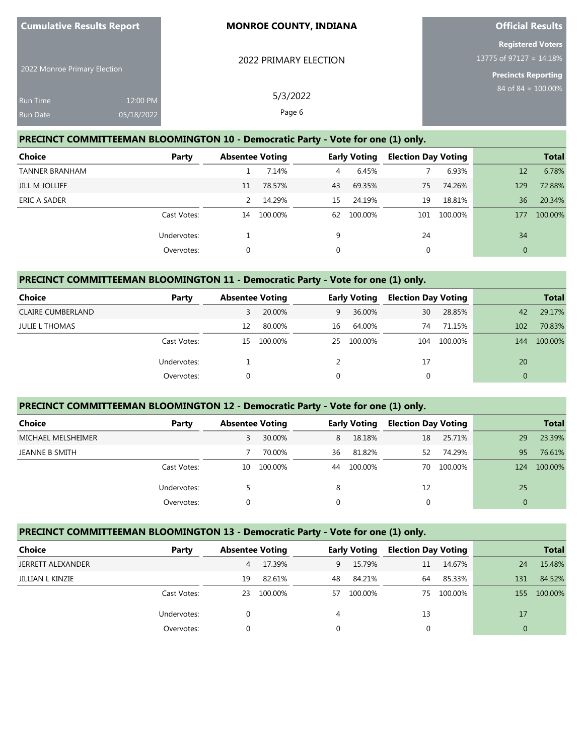| 2022 Monroe Primary Election |            | 2022 PRIMARY ELECTION | <b>Registered Voters</b><br>13775 of 97127 = 14.18%<br><b>Precincts Reporting</b> |
|------------------------------|------------|-----------------------|-----------------------------------------------------------------------------------|
| Run Time                     | 12:00 PM   | 5/3/2022              | 84 of 84 = $100.00\%$                                                             |
| <b>Run Date</b>              | 05/18/2022 | Page 6                |                                                                                   |

**Official Results**

### **PRECINCT COMMITTEEMAN BLOOMINGTON 10 - Democratic Party - Vote for one (1) only.**

**Cumulative Results Report**

| <b>Choice</b>         | Party       | <b>Absentee Voting</b> |         |          | <b>Early Voting</b> | <b>Election Day Voting</b> |         |              | <b>Total</b> |
|-----------------------|-------------|------------------------|---------|----------|---------------------|----------------------------|---------|--------------|--------------|
| <b>TANNER BRANHAM</b> |             |                        | 7.14%   | 4        | 6.45%               |                            | 6.93%   | 12           | 6.78%        |
| JILL M JOLLIFF        |             | 11                     | 78.57%  | 43       | 69.35%              | 75                         | 74.26%  | 129          | 72.88%       |
| ERIC A SADER          |             |                        | 14.29%  | 15       | 24.19%              | 19                         | 18.81%  | 36           | 20.34%       |
|                       | Cast Votes: | 14                     | 100.00% | 62       | 100.00%             | 101                        | 100.00% | 177          | 100.00%      |
|                       | Undervotes: |                        |         | 9        |                     | 24                         |         | 34           |              |
|                       | Overvotes:  | 0                      |         | $\Omega$ |                     | 0                          |         | $\mathbf{0}$ |              |

# **PRECINCT COMMITTEEMAN BLOOMINGTON 11 - Democratic Party - Vote for one (1) only.**

| <b>Choice</b>            | Party       | <b>Absentee Voting</b> |         |    | <b>Early Voting</b> | <b>Election Day Voting</b> |         |          | <b>Total</b> |
|--------------------------|-------------|------------------------|---------|----|---------------------|----------------------------|---------|----------|--------------|
| <b>CLAIRE CUMBERLAND</b> |             | 3                      | 20.00%  | 9  | 36.00%              | 30                         | 28.85%  | 42       | 29.17%       |
| <b>JULIE L THOMAS</b>    |             | 12                     | 80.00%  | 16 | 64.00%              | 74                         | 71.15%  | 102      | 70.83%       |
|                          | Cast Votes: | 15                     | 100.00% |    | 25 100.00%          | 104                        | 100.00% | 144      | 100.00%      |
|                          | Undervotes: |                        |         |    |                     | 17                         |         | 20       |              |
|                          | Overvotes:  |                        |         |    |                     | 0                          |         | $\Omega$ |              |

#### **PRECINCT COMMITTEEMAN BLOOMINGTON 12 - Democratic Party - Vote for one (1) only.**

| <b>Choice</b>      | Party       | <b>Absentee Voting</b> |         | <b>Early Voting</b> |         | <b>Election Day Voting</b> |         |          | <b>Total</b> |
|--------------------|-------------|------------------------|---------|---------------------|---------|----------------------------|---------|----------|--------------|
| MICHAEL MELSHEIMER |             |                        | 30.00%  | 8                   | 18.18%  | 18                         | 25.71%  | 29       | 23.39%       |
| JEANNE B SMITH     |             |                        | 70.00%  | 36                  | 81.82%  | 52                         | 74.29%  | 95       | 76.61%       |
|                    | Cast Votes: | 10                     | 100.00% | 44                  | 100.00% | 70                         | 100.00% | 124      | 100.00%      |
|                    | Undervotes: |                        |         | 8                   |         | 12                         |         | 25       |              |
|                    | Overvotes:  |                        |         | 0                   |         |                            |         | $\Omega$ |              |

### **PRECINCT COMMITTEEMAN BLOOMINGTON 13 - Democratic Party - Vote for one (1) only.**

| Choice                   | Party       | <b>Absentee Voting</b> |         |          |         |    | <b>Early Voting</b> |     | <b>Election Day Voting</b> |  | <b>Total</b> |
|--------------------------|-------------|------------------------|---------|----------|---------|----|---------------------|-----|----------------------------|--|--------------|
| <b>JERRETT ALEXANDER</b> |             | 4                      | 17.39%  | 9        | 15.79%  | 11 | 14.67%              | 24  | 15.48%                     |  |              |
| JILLIAN L KINZIE         |             | 19                     | 82.61%  | 48       | 84.21%  | 64 | 85.33%              | 131 | 84.52%                     |  |              |
|                          | Cast Votes: | 23                     | 100.00% | 57       | 100.00% | 75 | 100.00%             | 155 | 100.00%                    |  |              |
|                          | Undervotes: |                        |         | 4        |         | 13 |                     | 17  |                            |  |              |
|                          | Overvotes:  |                        |         | $\Omega$ |         |    |                     |     |                            |  |              |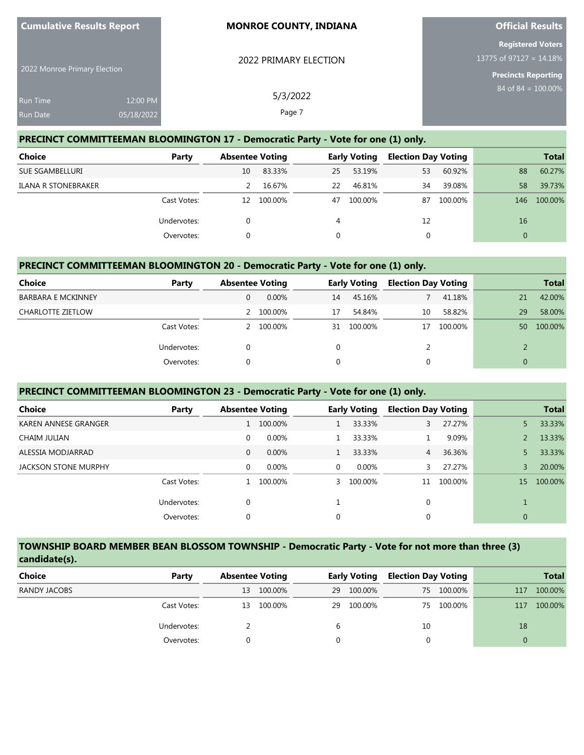| 2022 Monroe Primary Election |            | 2022 PRIMARY ELECTION | <b>Registered Voters</b><br>13775 of 97127 = 14.18%<br><b>Precincts Reporting</b> |
|------------------------------|------------|-----------------------|-----------------------------------------------------------------------------------|
| Run Time                     | 12:00 PM   | 5/3/2022              | $84 \text{ of } 84 = 100.00\%$                                                    |
| Run Date                     | 05/18/2022 | Page 7                |                                                                                   |

**Official Results**

#### **PRECINCT COMMITTEEMAN BLOOMINGTON 17 - Democratic Party - Vote for one (1) only.**

**Cumulative Results Report**

| Choice                 | Party       |    | <b>Absentee Voting</b> |    | <b>Early Voting</b> |    | <b>Election Day Voting</b> |          | <b>Total</b> |
|------------------------|-------------|----|------------------------|----|---------------------|----|----------------------------|----------|--------------|
| <b>SUE SGAMBELLURI</b> |             | 10 | 83.33%                 | 25 | 53.19%              | 53 | 60.92%                     | 88       | 60.27%       |
| ILANA R STONEBRAKER    |             |    | 16.67%                 | 22 | 46.81%              | 34 | 39.08%                     | 58       | 39.73%       |
|                        | Cast Votes: | 12 | 100.00%                | 47 | 100.00%             | 87 | 100.00%                    | 146      | 100.00%      |
|                        | Undervotes: |    |                        | 4  |                     | 12 |                            | 16       |              |
|                        | Overvotes:  |    |                        |    |                     |    |                            | $\Omega$ |              |

#### **PRECINCT COMMITTEEMAN BLOOMINGTON 20 - Democratic Party - Vote for one (1) only.**

| <b>Choice</b>             | Party       | <b>Absentee Voting</b> |          |    | <b>Early Voting</b> | <b>Election Day Voting</b> |         |              | <b>Total</b> |
|---------------------------|-------------|------------------------|----------|----|---------------------|----------------------------|---------|--------------|--------------|
| <b>BARBARA E MCKINNEY</b> |             | 0                      | $0.00\%$ | 14 | 45.16%              |                            | 41.18%  | 21           | 42.00%       |
| <b>CHARLOTTE ZIETLOW</b>  |             |                        | 100.00%  | 17 | 54.84%              | 10                         | 58.82%  | 29           | 58.00%       |
|                           | Cast Votes: |                        | 100.00%  | 31 | 100.00%             |                            | 100.00% | 50           | 100.00%      |
|                           | Undervotes: |                        |          | 0  |                     |                            |         |              |              |
|                           | Overvotes:  | $\Omega$               |          | 0  |                     | 0                          |         | $\mathbf{0}$ |              |

### **PRECINCT COMMITTEEMAN BLOOMINGTON 23 - Democratic Party - Vote for one (1) only.**

| Choice               | Party       | <b>Absentee Voting</b> |          |             | <b>Early Voting</b> | <b>Election Day Voting</b> |         |              | <b>Total</b> |
|----------------------|-------------|------------------------|----------|-------------|---------------------|----------------------------|---------|--------------|--------------|
| KAREN ANNESE GRANGER |             |                        | 100.00%  |             | 33.33%              | 3                          | 27.27%  | 5.           | 33.33%       |
| CHAIM JULIAN         |             | 0                      | 0.00%    |             | 33.33%              |                            | 9.09%   |              | 13.33%       |
| ALESSIA MODJARRAD    |             | $\mathbf{0}$           | $0.00\%$ |             | 33.33%              | $\overline{4}$             | 36.36%  | 5            | 33.33%       |
| JACKSON STONE MURPHY |             | $\Omega$               | 0.00%    | $\mathbf 0$ | $0.00\%$            |                            | 27.27%  | 3            | 20.00%       |
|                      | Cast Votes: |                        | 100.00%  | 3           | 100.00%             | 11                         | 100.00% | 15           | 100.00%      |
|                      | Undervotes: | 0                      |          |             |                     | 0                          |         |              |              |
|                      | Overvotes:  | 0                      |          | 0           |                     | 0                          |         | $\mathbf{0}$ |              |
|                      |             |                        |          |             |                     |                            |         |              |              |

### **TOWNSHIP BOARD MEMBER BEAN BLOSSOM TOWNSHIP - Democratic Party - Vote for not more than three (3) candidate(s).**

| Choice       | Party       |    | <b>Absentee Voting</b> |    | <b>Early Voting</b> | <b>Election Day Voting</b> |         |     | <b>Total</b> |
|--------------|-------------|----|------------------------|----|---------------------|----------------------------|---------|-----|--------------|
| RANDY JACOBS |             | 13 | 100.00%                | 29 | 100.00%             | 75                         | 100.00% | 117 | 100.00%      |
|              | Cast Votes: | 13 | 100.00%                | 29 | 100.00%             | 75                         | 100.00% | 117 | 100.00%      |
|              | Undervotes: |    |                        | b  |                     | 10                         |         | 18  |              |
|              | Overvotes:  |    |                        |    |                     |                            |         |     |              |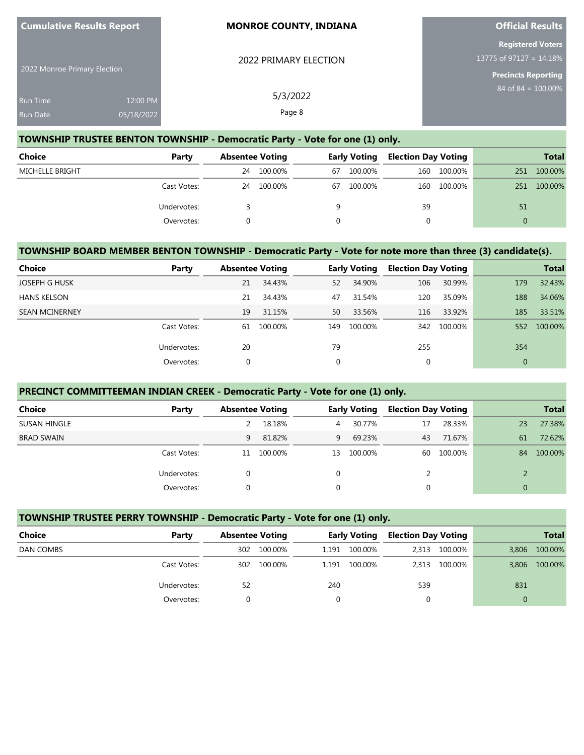| 2022 Monroe Primary Election |            | 2022 PRIMARY ELECTION | <b>Registered Voters</b><br>13775 of 97127 = 14.18%<br><b>Precincts Reporting</b> |
|------------------------------|------------|-----------------------|-----------------------------------------------------------------------------------|
| Run Time                     | 12:00 PM   | 5/3/2022              | 84 of $84 = 100.00\%$                                                             |
| Run Date                     | 05/18/2022 | Page 8                |                                                                                   |

**Official Results**

## **TOWNSHIP TRUSTEE BENTON TOWNSHIP - Democratic Party - Vote for one (1) only.**

**Cumulative Results Report**

| Choice          | Party       |    | <b>Absentee Voting</b> |    | <b>Early Voting</b> | <b>Election Day Voting</b> |         |     | <b>Total</b> |
|-----------------|-------------|----|------------------------|----|---------------------|----------------------------|---------|-----|--------------|
| MICHELLE BRIGHT |             | 24 | 100.00%                | 67 | 100.00%             | 160                        | 100.00% | 251 | 100.00%      |
|                 | Cast Votes: | 24 | 100.00%                | 67 | 100.00%             | 160                        | 100.00% | 251 | 100.00%      |
|                 | Undervotes: |    |                        | a  |                     | 39                         |         | 51  |              |
|                 | Overvotes:  |    |                        |    |                     |                            |         |     |              |

### **TOWNSHIP BOARD MEMBER BENTON TOWNSHIP - Democratic Party - Vote for note more than three (3) candidate(s).**

| Choice                | Party       | <b>Absentee Voting</b> |         |     | <b>Early Voting</b> | <b>Election Day Voting</b> |         |                | <b>Total</b> |
|-----------------------|-------------|------------------------|---------|-----|---------------------|----------------------------|---------|----------------|--------------|
| <b>JOSEPH G HUSK</b>  |             | 21                     | 34.43%  | 52  | 34.90%              | 106                        | 30.99%  | 179            | 32.43%       |
| <b>HANS KELSON</b>    |             | 21                     | 34.43%  | 47  | 31.54%              | 120                        | 35.09%  | 188            | 34.06%       |
| <b>SEAN MCINERNEY</b> |             | 19                     | 31.15%  | 50  | 33.56%              | 116                        | 33.92%  | 185            | 33.51%       |
|                       | Cast Votes: | 61                     | 100.00% | 149 | 100.00%             | 342                        | 100.00% | 552            | 100.00%      |
|                       | Undervotes: | 20                     |         | 79  |                     | 255                        |         | 354            |              |
|                       | Overvotes:  | 0                      |         | 0   |                     |                            |         | $\overline{0}$ |              |

### **PRECINCT COMMITTEEMAN INDIAN CREEK - Democratic Party - Vote for one (1) only.**

| <b>Choice</b>     | Party       | <b>Absentee Voting</b> |         |          | <b>Early Voting</b> | <b>Election Day Voting</b> |         |          | <b>Total</b> |
|-------------------|-------------|------------------------|---------|----------|---------------------|----------------------------|---------|----------|--------------|
| SUSAN HINGLE      |             |                        | 18.18%  | 4        | 30.77%              | 17                         | 28.33%  | 23       | 27.38%       |
| <b>BRAD SWAIN</b> |             | 9                      | 81.82%  | 9        | 69.23%              | 43                         | 71.67%  | 61       | 72.62%       |
|                   | Cast Votes: | 11                     | 100.00% | 13       | 100.00%             | 60                         | 100.00% | 84       | 100.00%      |
|                   | Undervotes: |                        |         | $\Omega$ |                     |                            |         |          |              |
|                   | Overvotes:  |                        |         | $\Omega$ |                     |                            |         | $\Omega$ |              |

| TOWNSHIP TRUSTEE PERRY TOWNSHIP - Democratic Party - Vote for one (1) only. |             |                        |         |                     |               |                            |         |              |              |  |
|-----------------------------------------------------------------------------|-------------|------------------------|---------|---------------------|---------------|----------------------------|---------|--------------|--------------|--|
| Choice                                                                      | Party       | <b>Absentee Voting</b> |         | <b>Early Voting</b> |               | <b>Election Day Voting</b> |         |              | <b>Total</b> |  |
| DAN COMBS                                                                   |             | 302                    | 100.00% |                     | 1,191 100.00% | 2,313                      | 100.00% | 3,806        | 100.00%      |  |
|                                                                             | Cast Votes: | 302                    | 100.00% |                     | 1.191 100.00% | 2.313                      | 100.00% | 3,806        | 100.00%      |  |
|                                                                             | Undervotes: | 52                     |         | 240                 |               | 539                        |         | 831          |              |  |
|                                                                             | Overvotes:  |                        |         |                     |               | 0                          |         | $\mathbf{0}$ |              |  |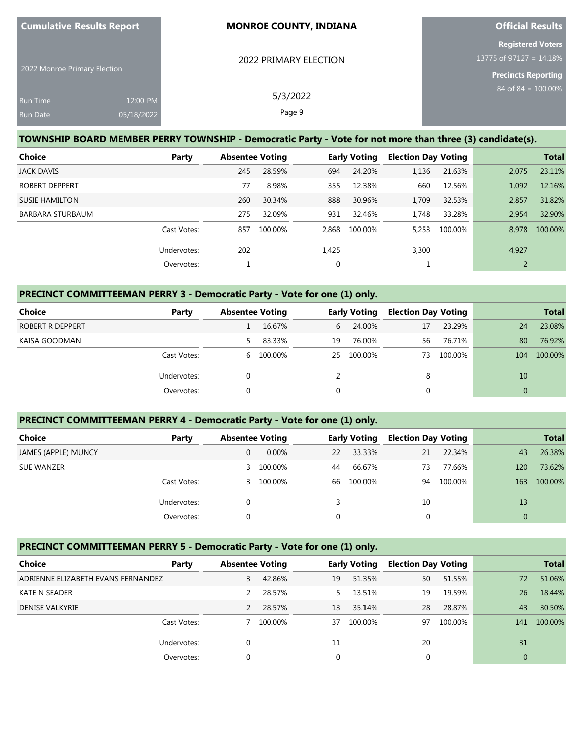| <b>Cumulative Results Report</b> |                        | <b>MONROE COUNTY, INDIANA</b> | <b>Official Results</b>                                                              |
|----------------------------------|------------------------|-------------------------------|--------------------------------------------------------------------------------------|
| 2022 Monroe Primary Election     |                        | 2022 PRIMARY ELECTION         | <b>Registered Voters</b><br>13775 of 97127 = $14.18\%$<br><b>Precincts Reporting</b> |
| Run Time<br><b>Run Date</b>      | 12:00 PM<br>05/18/2022 | 5/3/2022<br>Page 9            | $84$ of $84 = 100.00\%$                                                              |

### **TOWNSHIP BOARD MEMBER PERRY TOWNSHIP - Democratic Party - Vote for not more than three (3) candidate(s).**

| <b>Choice</b>           | Party       | <b>Absentee Voting</b> |         |       | <b>Early Voting</b> | <b>Election Day Voting</b> |         |       | <b>Total</b> |
|-------------------------|-------------|------------------------|---------|-------|---------------------|----------------------------|---------|-------|--------------|
| <b>JACK DAVIS</b>       |             | 245                    | 28.59%  | 694   | 24.20%              | 1,136                      | 21.63%  | 2,075 | 23.11%       |
| <b>ROBERT DEPPERT</b>   |             | 77                     | 8.98%   | 355   | 12.38%              | 660                        | 12.56%  | 1,092 | 12.16%       |
| <b>SUSIE HAMILTON</b>   |             | 260                    | 30.34%  | 888   | 30.96%              | 1.709                      | 32.53%  | 2,857 | 31.82%       |
| <b>BARBARA STURBAUM</b> |             | 275                    | 32.09%  | 931   | 32.46%              | 1.748                      | 33.28%  | 2.954 | 32.90%       |
|                         | Cast Votes: | 857                    | 100.00% | 2.868 | 100.00%             | 5.253                      | 100.00% | 8.978 | 100.00%      |
|                         | Undervotes: | 202                    |         | 1,425 |                     | 3,300                      |         | 4,927 |              |
|                         | Overvotes:  |                        |         | 0     |                     |                            |         |       |              |

# **PRECINCT COMMITTEEMAN PERRY 3 - Democratic Party - Vote for one (1) only.**

| <b>Choice</b>    | Party       | <b>Absentee Voting</b> |           |    | <b>Early Voting</b> | <b>Election Day Voting</b> |         |     | <b>Total</b> |
|------------------|-------------|------------------------|-----------|----|---------------------|----------------------------|---------|-----|--------------|
| ROBERT R DEPPERT |             |                        | 16.67%    | 6  | 24.00%              | 17                         | 23.29%  | 24  | 23.08%       |
| KAISA GOODMAN    |             | 5.                     | 83.33%    | 19 | 76.00%              | 56                         | 76.71%  | 80  | 76.92%       |
|                  | Cast Votes: |                        | 6 100.00% | 25 | 100.00%             | 73                         | 100.00% | 104 | 100.00%      |
|                  | Undervotes: | 0                      |           |    |                     | 8                          |         | 10  |              |
|                  | Overvotes:  | 0                      |           | 0  |                     | υ                          |         |     |              |

# **PRECINCT COMMITTEEMAN PERRY 4 - Democratic Party - Vote for one (1) only.**

| <b>Choice</b>       | Party       | <b>Absentee Voting</b> |          |    | <b>Early Voting</b> | <b>Election Day Voting</b> |         |          | <b>Total</b> |
|---------------------|-------------|------------------------|----------|----|---------------------|----------------------------|---------|----------|--------------|
| JAMES (APPLE) MUNCY |             |                        | $0.00\%$ | 22 | 33.33%              | 21                         | 22.34%  | 43       | 26.38%       |
| <b>SUE WANZER</b>   |             | 3                      | 100.00%  | 44 | 66.67%              | 73                         | 77.66%  | 120      | 73.62%       |
|                     | Cast Votes: | 3.                     | 100.00%  | 66 | 100.00%             | 94                         | 100.00% | 163      | 100.00%      |
|                     | Undervotes: |                        |          |    |                     | 10                         |         | 13       |              |
|                     | Overvotes:  |                        |          |    |                     |                            |         | $\Omega$ |              |

### **PRECINCT COMMITTEEMAN PERRY 5 - Democratic Party - Vote for one (1) only.**

| <b>Choice</b>                      | Party       | <b>Absentee Voting</b> |         |    | <b>Early Voting</b> | <b>Election Day Voting</b> |         |     | <b>Total</b> |
|------------------------------------|-------------|------------------------|---------|----|---------------------|----------------------------|---------|-----|--------------|
| ADRIENNE ELIZABETH EVANS FERNANDEZ |             | 3                      | 42.86%  | 19 | 51.35%              | 50                         | 51.55%  | 72  | 51.06%       |
| <b>KATE N SEADER</b>               |             |                        | 28.57%  | 5. | 13.51%              | 19                         | 19.59%  | 26  | 18.44%       |
| <b>DENISE VALKYRIE</b>             |             |                        | 28.57%  | 13 | 35.14%              | 28                         | 28.87%  | 43  | 30.50%       |
|                                    | Cast Votes: |                        | 100.00% | 37 | 100.00%             | 97                         | 100.00% | 141 | 100.00%      |
|                                    | Undervotes: |                        |         | 11 |                     | 20                         |         | 31  |              |
|                                    | Overvotes:  |                        |         |    |                     |                            |         |     |              |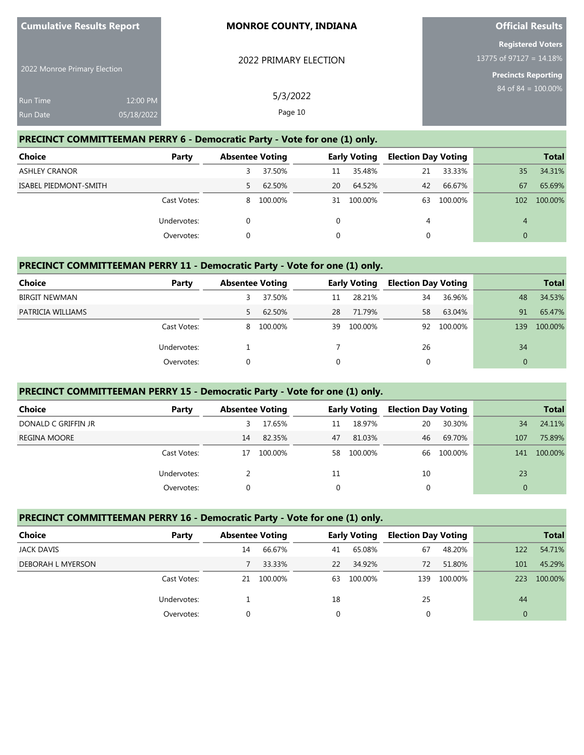| $\sim$ Curriculative results report | <b>INDIVINUE COUNTY, INDIANA</b> | <b>UITCIAL NESULS</b>      |
|-------------------------------------|----------------------------------|----------------------------|
|                                     |                                  | <b>Registered Voters</b>   |
|                                     | 2022 PRIMARY ELECTION            | 13775 of 97127 = $14.18\%$ |
| 2022 Monroe Primary Election        |                                  | <b>Precincts Reporting</b> |
| 12:00 PM<br>Run Time                | 5/3/2022                         | 84 of $84 = 100.00\%$      |
| <b>Run Date</b><br>05/18/2022       | Page 10                          |                            |

**Official Results**

# **PRECINCT COMMITTEEMAN PERRY 6 - Democratic Party - Vote for one (1) only.**

**Cumulative Results Report**

| <b>Choice</b>         | Party       | <b>Absentee Voting</b> |           |    | <b>Early Voting</b> | <b>Election Day Voting</b> |         |                | <b>Total</b> |
|-----------------------|-------------|------------------------|-----------|----|---------------------|----------------------------|---------|----------------|--------------|
| <b>ASHLEY CRANOR</b>  |             |                        | 37.50%    | 11 | 35.48%              | 21                         | 33.33%  | 35             | 34.31%       |
| ISABEL PIEDMONT-SMITH |             |                        | 62.50%    | 20 | 64.52%              | 42                         | 66.67%  | 67             | 65.69%       |
|                       | Cast Votes: |                        | 8 100.00% |    | 31 100.00%          | 63                         | 100.00% | 102            | 100.00%      |
|                       | Undervotes: |                        |           |    |                     | 4                          |         | $\overline{4}$ |              |
|                       | Overvotes:  |                        |           |    |                     |                            |         | $\Omega$       |              |

### **PRECINCT COMMITTEEMAN PERRY 11 - Democratic Party - Vote for one (1) only.**

| Choice               | Party       | <b>Absentee Voting</b> |           |    | <b>Early Voting</b> | <b>Election Day Voting</b> |            |              | <b>Total</b> |
|----------------------|-------------|------------------------|-----------|----|---------------------|----------------------------|------------|--------------|--------------|
| <b>BIRGIT NEWMAN</b> |             | 3                      | 37.50%    | 11 | 28.21%              | 34                         | 36.96%     | 48           | 34.53%       |
| PATRICIA WILLIAMS    |             | 5.                     | 62.50%    | 28 | 71.79%              | 58                         | 63.04%     | 91           | 65.47%       |
|                      | Cast Votes: |                        | 8 100.00% | 39 | 100.00%             |                            | 92 100.00% | 139          | 100.00%      |
|                      | Undervotes: |                        |           |    |                     | 26                         |            | 34           |              |
|                      | Overvotes:  | 0                      |           |    |                     |                            |            | $\mathbf{0}$ |              |

### **PRECINCT COMMITTEEMAN PERRY 15 - Democratic Party - Vote for one (1) only.**

| <b>Choice</b>       | Party       | <b>Absentee Voting</b> |         |          | <b>Early Voting</b> | <b>Election Day Voting</b> |         |          | <b>Total</b> |
|---------------------|-------------|------------------------|---------|----------|---------------------|----------------------------|---------|----------|--------------|
| DONALD C GRIFFIN JR |             |                        | 17.65%  | 11       | 18.97%              | 20                         | 30.30%  | 34       | 24.11%       |
| <b>REGINA MOORE</b> |             | 14                     | 82.35%  | 47       | 81.03%              | 46                         | 69.70%  | 107      | 75.89%       |
|                     | Cast Votes: | 17                     | 100.00% | 58       | 100.00%             | 66                         | 100.00% | 141      | 100.00%      |
|                     | Undervotes: |                        |         | 11       |                     | 10                         |         | 23       |              |
|                     | Overvotes:  |                        |         | $\Omega$ |                     |                            |         | $\Omega$ |              |

### **PRECINCT COMMITTEEMAN PERRY 16 - Democratic Party - Vote for one (1) only.**

| Choice                   | Party       |    | <b>Absentee Voting</b> |          | <b>Early Voting</b> | <b>Election Day Voting</b> |         |              | <b>Total</b> |
|--------------------------|-------------|----|------------------------|----------|---------------------|----------------------------|---------|--------------|--------------|
| JACK DAVIS               |             | 14 | 66.67%                 | 41       | 65.08%              | 67                         | 48.20%  | 122          | 54.71%       |
| <b>DEBORAH L MYERSON</b> |             |    | 33.33%                 | 22       | 34.92%              | 72                         | 51.80%  | 101          | 45.29%       |
|                          | Cast Votes: | 21 | 100.00%                | 63       | 100.00%             | 139                        | 100.00% | 223          | 100.00%      |
|                          | Undervotes: |    |                        | 18       |                     | 25                         |         | 44           |              |
|                          | Overvotes:  |    |                        | $\Omega$ |                     | 0                          |         | $\mathbf{0}$ |              |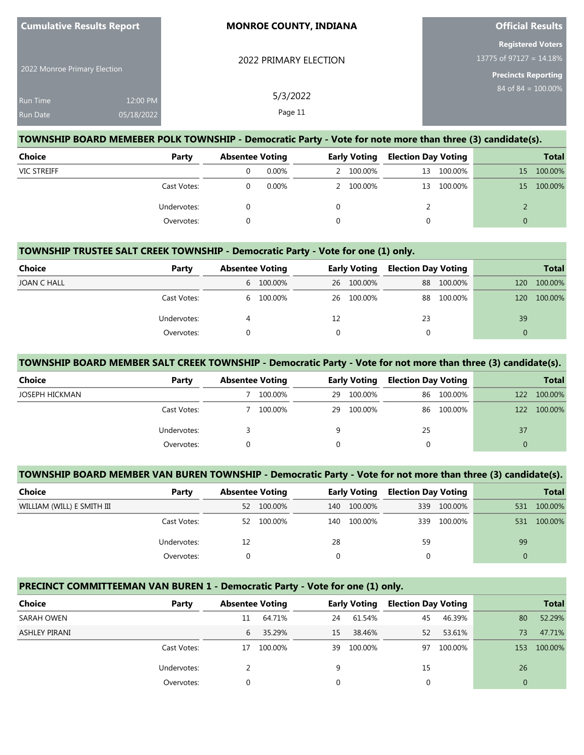|                                                                                 | <b>Official Results</b> |
|---------------------------------------------------------------------------------|-------------------------|
| <b>Registered Voters</b><br>13775 of 97127 = $14.18\%$<br>2022 PRIMARY ELECTION |                         |
| 2022 Monroe Primary Election<br><b>Precincts Reporting</b>                      |                         |
| 84 of $84 = 100.00\%$<br>5/3/2022<br><b>Run Time</b><br>12:00 PM                |                         |
| Page 11<br>05/18/2022<br><b>Run Date</b>                                        |                         |

#### **TOWNSHIP BOARD MEMEBER POLK TOWNSHIP - Democratic Party - Vote for note more than three (3) candidate(s).**

| <b>Choice</b>      | Party       | <b>Absentee Voting</b> |          | <b>Early Voting</b> |           | <b>Election Day Voting</b> |            |    | <b>Total</b> |
|--------------------|-------------|------------------------|----------|---------------------|-----------|----------------------------|------------|----|--------------|
| <b>VIC STREIFF</b> |             |                        | $0.00\%$ |                     | 2 100.00% | 13                         | 100.00%    | 15 | 100.00%      |
|                    | Cast Votes: |                        | 0.00%    |                     | 2 100.00% |                            | 13 100.00% | 15 | 100.00%      |
|                    | Undervotes: |                        |          |                     |           |                            |            |    |              |
|                    | Overvotes:  |                        |          |                     |           |                            |            |    |              |

### **TOWNSHIP TRUSTEE SALT CREEK TOWNSHIP - Democratic Party - Vote for one (1) only.**

| Choice      | Party       | <b>Absentee Voting</b> |           | <b>Early Voting</b> |            | <b>Election Day Voting</b> |         |     | <b>Total</b> |
|-------------|-------------|------------------------|-----------|---------------------|------------|----------------------------|---------|-----|--------------|
| JOAN C HALL |             |                        | 6 100.00% |                     | 26 100.00% | 88                         | 100.00% | 120 | 100.00%      |
|             | Cast Votes: |                        | 6 100.00% |                     | 26 100.00% | 88                         | 100.00% | 120 | 100.00%      |
|             | Undervotes: |                        |           | 12                  |            | 23                         |         | 39  |              |
|             | Overvotes:  |                        |           |                     |            |                            |         |     |              |

#### **TOWNSHIP BOARD MEMBER SALT CREEK TOWNSHIP - Democratic Party - Vote for not more than three (3) candidate(s).**

| <b>Choice</b>  | Party       | <b>Absentee Voting</b> |         | <b>Early Voting</b> |         | <b>Election Day Voting</b> |            |          | <b>Total</b> |
|----------------|-------------|------------------------|---------|---------------------|---------|----------------------------|------------|----------|--------------|
| JOSEPH HICKMAN |             |                        | 100.00% | 29                  | 100.00% |                            | 86 100.00% | 122      | 100.00%      |
|                | Cast Votes: |                        | 100.00% | 29                  | 100.00% |                            | 86 100.00% | 122      | 100.00%      |
|                | Undervotes: |                        |         | 9                   |         | 25                         |            | 37       |              |
|                | Overvotes:  |                        |         | $\Omega$            |         | 0                          |            | $\Omega$ |              |

### **TOWNSHIP BOARD MEMBER VAN BUREN TOWNSHIP - Democratic Party - Vote for not more than three (3) candidate(s).**

| Choice                     | Party       | <b>Absentee Voting</b> |         | <b>Early Voting</b> |         | <b>Election Day Voting</b> |         |     | Total   |
|----------------------------|-------------|------------------------|---------|---------------------|---------|----------------------------|---------|-----|---------|
| WILLIAM (WILL) E SMITH III |             | 52                     | 100.00% | 140                 | 100.00% | 339                        | 100.00% | 531 | 100.00% |
|                            | Cast Votes: | 52                     | 100.00% | 140                 | 100.00% | 339                        | 100.00% | 531 | 100.00% |
|                            | Undervotes: | 12                     |         | 28                  |         | 59                         |         | 99  |         |
|                            | Overvotes:  |                        |         |                     |         |                            |         |     |         |

### **PRECINCT COMMITTEEMAN VAN BUREN 1 - Democratic Party - Vote for one (1) only.**

| <b>Choice</b>        | Party       | <b>Absentee Voting</b> |         |    | <b>Early Voting</b> | <b>Election Day Voting</b> |         |     | <b>Total</b> |
|----------------------|-------------|------------------------|---------|----|---------------------|----------------------------|---------|-----|--------------|
| SARAH OWEN           |             | 11                     | 64.71%  | 24 | 61.54%              | 45                         | 46.39%  | 80  | 52.29%       |
| <b>ASHLEY PIRANI</b> |             | 6                      | 35.29%  | 15 | 38.46%              | 52                         | 53.61%  | 73  | 47.71%       |
|                      | Cast Votes: | 17                     | 100.00% | 39 | 100.00%             | 97                         | 100.00% | 153 | 100.00%      |
|                      | Undervotes: |                        |         | 9  |                     | 15                         |         | 26  |              |
|                      | Overvotes:  | 0                      |         | 0  |                     | 0                          |         |     |              |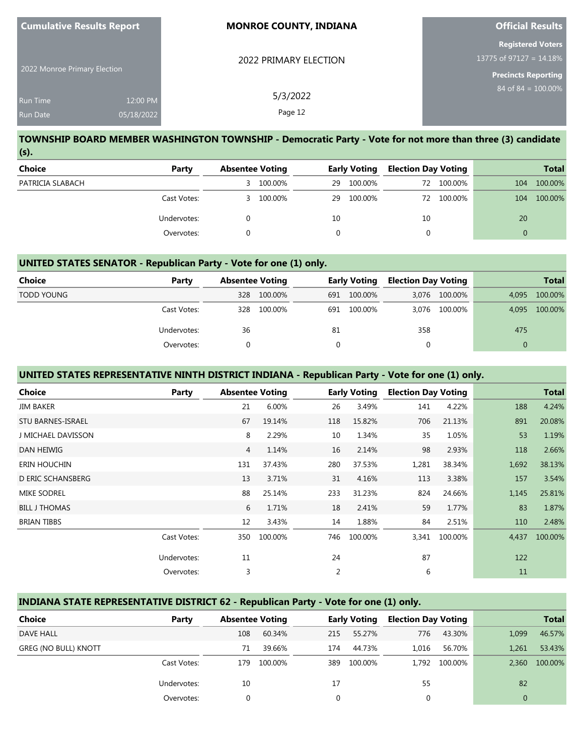| <b>Cumulative Results Report</b>   |                        | <b>MONROE COUNTY, INDIANA</b> | <b>Official Results</b>                                                           |
|------------------------------------|------------------------|-------------------------------|-----------------------------------------------------------------------------------|
| 2022 Monroe Primary Election       |                        | 2022 PRIMARY ELECTION         | <b>Registered Voters</b><br>13775 of 97127 = 14.18%<br><b>Precincts Reporting</b> |
| <b>Run Time</b><br><b>Run Date</b> | 12:00 PM<br>05/18/2022 | 5/3/2022<br>Page 12           | 84 of 84 = $100.00\%$                                                             |

### **TOWNSHIP BOARD MEMBER WASHINGTON TOWNSHIP - Democratic Party - Vote for not more than three (3) candidate (s).**

| Choice           | Party       | <b>Absentee Voting</b> |         | <b>Early Voting</b> |         | <b>Election Day Voting</b> |         |     | <b>Total</b> |
|------------------|-------------|------------------------|---------|---------------------|---------|----------------------------|---------|-----|--------------|
| PATRICIA SLABACH |             | 3                      | 100.00% | 29                  | 100.00% | 72                         | 100.00% | 104 | 100.00%      |
|                  | Cast Votes: | 3.                     | 100.00% | 29                  | 100.00% | 72                         | 100.00% | 104 | 100.00%      |
|                  | Undervotes: |                        |         | 10                  |         | 10                         |         | 20  |              |
|                  | Overvotes:  |                        |         |                     |         | υ                          |         |     |              |

### **UNITED STATES SENATOR - Republican Party - Vote for one (1) only.**

| Choice            | Party       | <b>Absentee Voting</b> |         |          | <b>Early Voting</b> | <b>Election Day Voting</b> |               |          | <b>Total</b> |
|-------------------|-------------|------------------------|---------|----------|---------------------|----------------------------|---------------|----------|--------------|
| <b>TODD YOUNG</b> |             | 328                    | 100.00% | 691      | 100.00%             |                            | 3,076 100.00% | 4,095    | 100.00%      |
|                   | Cast Votes: | 328                    | 100.00% | 691      | 100.00%             |                            | 3.076 100.00% | 4.095    | 100.00%      |
|                   | Undervotes: | 36                     |         | 81       |                     | 358                        |               | 475      |              |
|                   | Overvotes:  | 0                      |         | $\Omega$ |                     | 0                          |               | $\Omega$ |              |

# **UNITED STATES REPRESENTATIVE NINTH DISTRICT INDIANA - Republican Party - Vote for one (1) only.**

| <b>Choice</b>            | Party       | <b>Absentee Voting</b> |         |                | <b>Early Voting</b> | <b>Election Day Voting</b> |         |       | <b>Total</b> |
|--------------------------|-------------|------------------------|---------|----------------|---------------------|----------------------------|---------|-------|--------------|
| <b>JIM BAKER</b>         |             | 21                     | 6.00%   | 26             | 3.49%               | 141                        | 4.22%   | 188   | 4.24%        |
| <b>STU BARNES-ISRAEL</b> |             | 67                     | 19.14%  | 118            | 15.82%              | 706                        | 21.13%  | 891   | 20.08%       |
| J MICHAEL DAVISSON       |             | 8                      | 2.29%   | 10             | 1.34%               | 35                         | 1.05%   | 53    | 1.19%        |
| DAN HEIWIG               |             | $\overline{4}$         | 1.14%   | 16             | 2.14%               | 98                         | 2.93%   | 118   | 2.66%        |
| ERIN HOUCHIN             |             | 131                    | 37.43%  | 280            | 37.53%              | 1,281                      | 38.34%  | 1,692 | 38.13%       |
| <b>D ERIC SCHANSBERG</b> |             | 13                     | 3.71%   | 31             | 4.16%               | 113                        | 3.38%   | 157   | 3.54%        |
| <b>MIKE SODREL</b>       |             | 88                     | 25.14%  | 233            | 31.23%              | 824                        | 24.66%  | 1,145 | 25.81%       |
| <b>BILL J THOMAS</b>     |             | 6                      | 1.71%   | 18             | 2.41%               | 59                         | 1.77%   | 83    | 1.87%        |
| <b>BRIAN TIBBS</b>       |             | 12                     | 3.43%   | 14             | 1.88%               | 84                         | 2.51%   | 110   | 2.48%        |
|                          | Cast Votes: | 350                    | 100.00% | 746            | 100.00%             | 3,341                      | 100.00% | 4,437 | 100.00%      |
|                          | Undervotes: | 11                     |         | 24             |                     | 87                         |         | 122   |              |
|                          | Overvotes:  | 3                      |         | $\overline{2}$ |                     | 6                          |         | 11    |              |

# **INDIANA STATE REPRESENTATIVE DISTRICT 62 - Republican Party - Vote for one (1) only.**

| Choice                      | Party       | <b>Absentee Voting</b> |         |     | <b>Early Voting</b> | <b>Election Day Voting</b> |         |          | <b>Total</b> |
|-----------------------------|-------------|------------------------|---------|-----|---------------------|----------------------------|---------|----------|--------------|
| <b>DAVE HALL</b>            |             | 108                    | 60.34%  | 215 | 55.27%              | 776                        | 43.30%  | 1,099    | 46.57%       |
| <b>GREG (NO BULL) KNOTT</b> |             | 71                     | 39.66%  | 174 | 44.73%              | 1.016                      | 56.70%  | 1,261    | 53.43%       |
|                             | Cast Votes: | 179                    | 100.00% | 389 | 100.00%             | 1.792                      | 100.00% | 2.360    | 100.00%      |
|                             | Undervotes: | 10                     |         | 17  |                     | 55                         |         | 82       |              |
|                             | Overvotes:  | 0                      |         |     |                     |                            |         | $\Omega$ |              |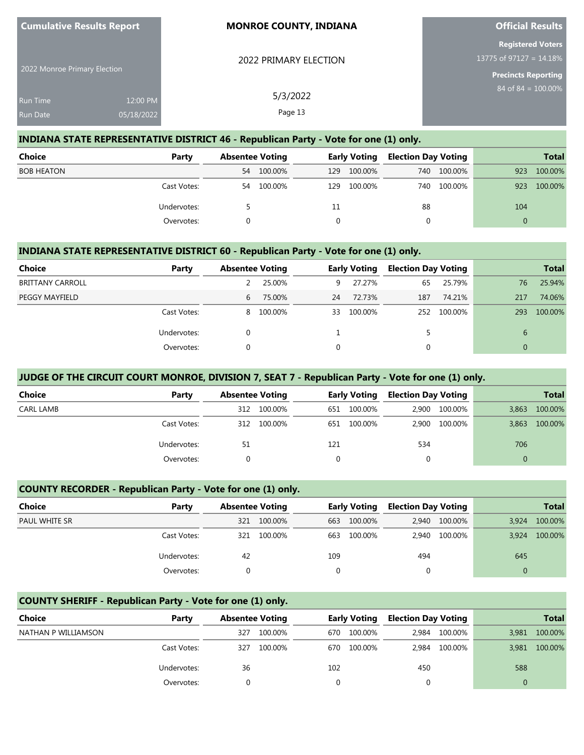| $\sim$ candidative results report |            | <b>MONITOL COONTIT, MOINTA</b> | <b>PHILIMI RESULTS</b>     |
|-----------------------------------|------------|--------------------------------|----------------------------|
|                                   |            |                                | <b>Registered Voters</b>   |
|                                   |            | 2022 PRIMARY ELECTION          | 13775 of 97127 = 14.18%    |
| 2022 Monroe Primary Election      |            |                                | <b>Precincts Reporting</b> |
| <b>Run Time</b>                   | 12:00 PM   | 5/3/2022                       | $84$ of $84 = 100.00\%$    |
| <b>Run Date</b>                   | 05/18/2022 | Page 13                        |                            |

**Official Results**

#### **INDIANA STATE REPRESENTATIVE DISTRICT 46 - Republican Party - Vote for one (1) only.**

**Cumulative Results Report**

| <b>Choice</b>     | Party       | <b>Absentee Voting</b> |         | Early Voting |         | <b>Election Day Voting</b> |         |          | <b>Total</b> |
|-------------------|-------------|------------------------|---------|--------------|---------|----------------------------|---------|----------|--------------|
| <b>BOB HEATON</b> |             | 54                     | 100.00% | 129          | 100.00% | 740                        | 100.00% | 923      | 100.00%      |
|                   | Cast Votes: | 54                     | 100.00% | 129          | 100.00% | 740                        | 100.00% | 923      | 100.00%      |
|                   | Undervotes: |                        |         | 11           |         | 88                         |         | 104      |              |
|                   | Overvotes:  |                        |         |              |         | 0                          |         | $\Omega$ |              |

### **INDIANA STATE REPRESENTATIVE DISTRICT 60 - Republican Party - Vote for one (1) only.**

| <b>Choice</b>           | Party       | <b>Absentee Voting</b> |           | <b>Early Voting</b> |         | <b>Election Day Voting</b> |         |              | <b>Total</b> |
|-------------------------|-------------|------------------------|-----------|---------------------|---------|----------------------------|---------|--------------|--------------|
|                         |             |                        |           |                     |         |                            |         |              |              |
| <b>BRITTANY CARROLL</b> |             |                        | 25.00%    | 9.                  | 27.27%  | 65                         | 25.79%  | 76           | 25.94%       |
| PEGGY MAYFIELD          |             | 6                      | 75.00%    | 24                  | 72.73%  | 187                        | 74.21%  | 217          | 74.06%       |
|                         | Cast Votes: |                        | 8 100.00% | 33                  | 100.00% | 252                        | 100.00% | 293          | 100.00%      |
|                         | Undervotes: | $\Omega$               |           |                     |         |                            |         | 6            |              |
|                         | Overvotes:  | 0                      |           |                     |         | 0                          |         | $\mathbf{0}$ |              |

### **JUDGE OF THE CIRCUIT COURT MONROE, DIVISION 7, SEAT 7 - Republican Party - Vote for one (1) only.**

| <b>Choice</b> | Party       | <b>Absentee Voting</b> |         |     | <b>Early Voting</b> | <b>Election Day Voting</b> |               |          | <b>Total</b> |
|---------------|-------------|------------------------|---------|-----|---------------------|----------------------------|---------------|----------|--------------|
| CARL LAMB     |             | 312                    | 100.00% | 651 | 100.00%             | 2.900                      | 100.00%       | 3.863    | 100.00%      |
|               | Cast Votes: | 312                    | 100.00% | 651 | 100.00%             |                            | 2,900 100.00% | 3,863    | 100.00%      |
|               | Undervotes: | 51                     |         | 121 |                     | 534                        |               | 706      |              |
|               | Overvotes:  |                        |         |     |                     |                            |               | $\Omega$ |              |

#### **COUNTY RECORDER - Republican Party - Vote for one (1) only.**

| <b>Choice</b>        | Party       | <b>Absentee Voting</b> |         |          | <b>Early Voting</b> | <b>Election Day Voting</b> |               |          | <b>Total</b> |
|----------------------|-------------|------------------------|---------|----------|---------------------|----------------------------|---------------|----------|--------------|
| <b>PAUL WHITE SR</b> |             | 321                    | 100.00% | 663      | 100.00%             |                            | 2,940 100.00% | 3.924    | 100.00%      |
|                      | Cast Votes: | 321                    | 100.00% | 663      | 100.00%             | 2.940                      | 100.00%       | 3.924    | 100.00%      |
|                      | Undervotes: | 42                     |         | 109      |                     | 494                        |               | 645      |              |
|                      | Overvotes:  |                        |         | $\Omega$ |                     | 0                          |               | $\Omega$ |              |

### **COUNTY SHERIFF - Republican Party - Vote for one (1) only.**

| Choice              | Party       | <b>Absentee Voting</b> |         |     |         |       | <b>Early Voting</b> |          |         |  | <b>Election Day Voting</b> |  | <b>Total</b> |
|---------------------|-------------|------------------------|---------|-----|---------|-------|---------------------|----------|---------|--|----------------------------|--|--------------|
| NATHAN P WILLIAMSON |             | 327                    | 100.00% | 670 | 100.00% | 2.984 | 100.00%             | 3,981    | 100.00% |  |                            |  |              |
|                     | Cast Votes: | 327                    | 100.00% | 670 | 100.00% | 2.984 | 100.00%             | 3,981    | 100.00% |  |                            |  |              |
|                     | Undervotes: | 36                     |         | 102 |         | 450   |                     | 588      |         |  |                            |  |              |
|                     | Overvotes:  |                        |         |     |         | 0     |                     | $\Omega$ |         |  |                            |  |              |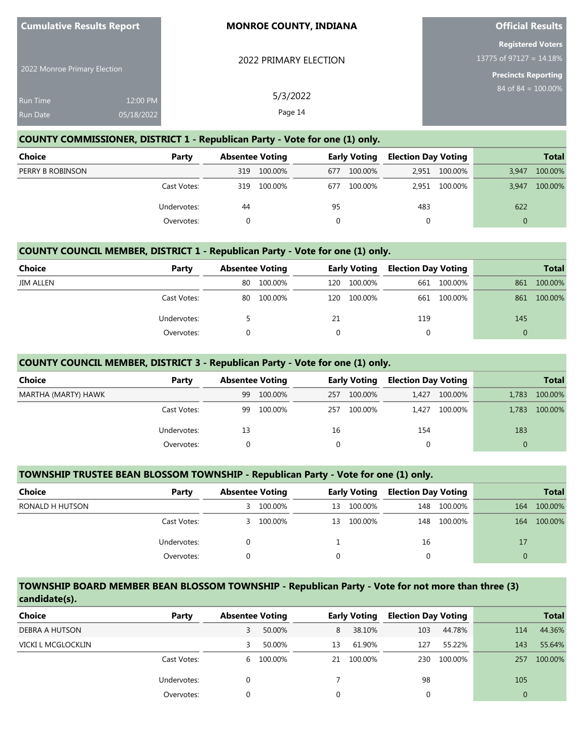| <b>Cumulative Results Report</b>   |                        | <b>MONROE COUNTY, INDIANA</b> | <b>Official Results</b>                                                              |
|------------------------------------|------------------------|-------------------------------|--------------------------------------------------------------------------------------|
| 2022 Monroe Primary Election       |                        | 2022 PRIMARY ELECTION         | <b>Registered Voters</b><br>13775 of 97127 = $14.18\%$<br><b>Precincts Reporting</b> |
| <b>Run Time</b><br><b>Run Date</b> | 12:00 PM<br>05/18/2022 | 5/3/2022<br>Page 14           | $84$ of $84 = 100.00\%$                                                              |

### **COUNTY COMMISSIONER, DISTRICT 1 - Republican Party - Vote for one (1) only.**

| Choice           | Party       | <b>Absentee Voting</b> |         | <b>Early Voting</b> |         | <b>Election Day Voting</b> |               |          | <b>Total</b> |
|------------------|-------------|------------------------|---------|---------------------|---------|----------------------------|---------------|----------|--------------|
| PERRY B ROBINSON |             | 319                    | 100.00% | 677                 | 100.00% |                            | 2,951 100.00% | 3,947    | 100.00%      |
|                  | Cast Votes: | 319                    | 100.00% | 677                 | 100.00% |                            | 2.951 100.00% | 3,947    | 100.00%      |
|                  | Undervotes: | 44                     |         | 95                  |         | 483                        |               | 622      |              |
|                  | Overvotes:  |                        |         |                     |         |                            |               | $\Omega$ |              |

### **COUNTY COUNCIL MEMBER, DISTRICT 1 - Republican Party - Vote for one (1) only.**

| Choice           | Party       | <b>Absentee Voting</b> |         |     | <b>Early Voting</b> | <b>Election Day Voting</b> |             |          | <b>Total</b> |
|------------------|-------------|------------------------|---------|-----|---------------------|----------------------------|-------------|----------|--------------|
| <b>JIM ALLEN</b> |             | 80                     | 100.00% | 120 | 100.00%             |                            | 661 100.00% | 861      | 100.00%      |
|                  | Cast Votes: | 80                     | 100.00% | 120 | 100.00%             |                            | 661 100.00% | 861      | 100.00%      |
|                  | Undervotes: |                        |         | 21  |                     | 119                        |             | 145      |              |
|                  | Overvotes:  |                        |         |     |                     | 0                          |             | $\Omega$ |              |

### **COUNTY COUNCIL MEMBER, DISTRICT 3 - Republican Party - Vote for one (1) only.**

| <b>Choice</b>       | Party       | <b>Absentee Voting</b> |         | <b>Early Voting</b> |         | <b>Election Day Voting</b> |         |          | <b>Total</b> |
|---------------------|-------------|------------------------|---------|---------------------|---------|----------------------------|---------|----------|--------------|
| MARTHA (MARTY) HAWK |             | 99                     | 100.00% | 257                 | 100.00% | 1.427                      | 100.00% | 1.783    | 100.00%      |
|                     | Cast Votes: | 99                     | 100.00% | 257                 | 100.00% | 1.427                      | 100.00% | 1.783    | 100.00%      |
|                     | Undervotes: | 13                     |         | 16                  |         | 154                        |         | 183      |              |
|                     | Overvotes:  |                        |         | $\Omega$            |         | 0                          |         | $\Omega$ |              |

#### **TOWNSHIP TRUSTEE BEAN BLOSSOM TOWNSHIP - Republican Party - Vote for one (1) only.**

| <b>Choice</b>   | Party       |   | <b>Absentee Voting</b> |    | <b>Early Voting</b> |     | <b>Election Day Voting</b> | <b>Total</b> |         |
|-----------------|-------------|---|------------------------|----|---------------------|-----|----------------------------|--------------|---------|
| RONALD H HUTSON |             | 3 | 100.00%                | 13 | 100.00%             | 148 | 100.00%                    | 164          | 100.00% |
|                 | Cast Votes: | 3 | 100.00%                | 13 | 100.00%             | 148 | 100.00%                    | 164          | 100.00% |
|                 | Undervotes: |   |                        |    |                     | 16  |                            | 17           |         |
|                 | Overvotes:  |   |                        |    |                     |     |                            | 0            |         |

#### **TOWNSHIP BOARD MEMBER BEAN BLOSSOM TOWNSHIP - Republican Party - Vote for not more than three (3) candidate(s).**

| <b>Choice</b>      | Party       | <b>Absentee Voting</b> |           |          | <b>Early Voting</b> | <b>Election Day Voting</b> |         |          | <b>Total</b> |
|--------------------|-------------|------------------------|-----------|----------|---------------------|----------------------------|---------|----------|--------------|
| DEBRA A HUTSON     |             | 3                      | 50.00%    | 8        | 38.10%              | 103                        | 44.78%  | 114      | 44.36%       |
| VICKI L MCGLOCKLIN |             | 3                      | 50.00%    | 13       | 61.90%              | 127                        | 55.22%  | 143      | 55.64%       |
|                    | Cast Votes: |                        | 6 100.00% | 21       | 100.00%             | 230                        | 100.00% | 257      | 100.00%      |
|                    | Undervotes: | 0                      |           |          |                     | 98                         |         | 105      |              |
|                    | Overvotes:  | 0                      |           | $\Omega$ |                     |                            |         | $\Omega$ |              |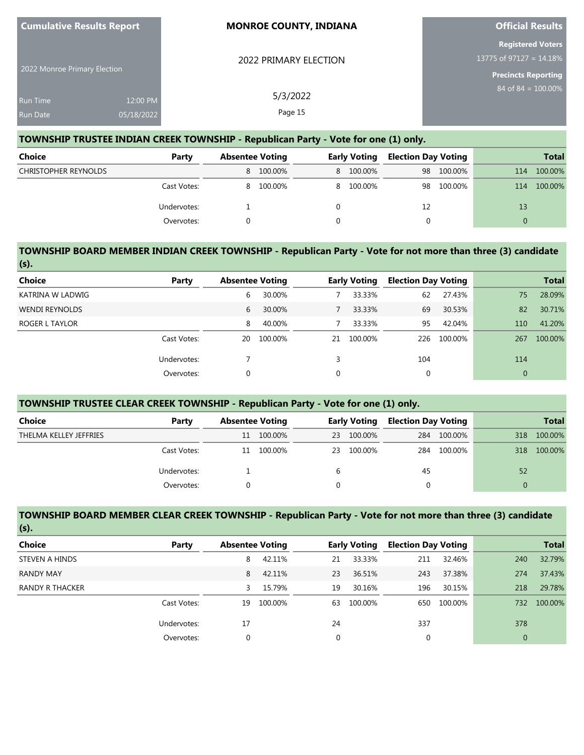| <b>Cumulative Results Report</b> |                        | <b>MONROE COUNTY, INDIANA</b> | <b>Official Results</b>                                                              |
|----------------------------------|------------------------|-------------------------------|--------------------------------------------------------------------------------------|
| 2022 Monroe Primary Election     |                        | 2022 PRIMARY ELECTION         | <b>Registered Voters</b><br>13775 of 97127 = $14.18\%$<br><b>Precincts Reporting</b> |
| <b>Run Time</b><br>Run Date      | 12:00 PM<br>05/18/2022 | 5/3/2022<br>Page 15           | $84$ of $84 = 100.00\%$                                                              |

### **TOWNSHIP TRUSTEE INDIAN CREEK TOWNSHIP - Republican Party - Vote for one (1) only.**

| <b>Choice</b>               | Party       | <b>Absentee Voting</b> |           | <b>Early Voting</b> |           | <b>Election Day Voting</b> |         |          | <b>Total</b> |
|-----------------------------|-------------|------------------------|-----------|---------------------|-----------|----------------------------|---------|----------|--------------|
| <b>CHRISTOPHER REYNOLDS</b> |             |                        | 8 100.00% |                     | 8 100.00% | 98                         | 100.00% | 114      | 100.00%      |
|                             | Cast Votes: | 8.                     | 100.00%   |                     | 8 100.00% | 98                         | 100.00% | 114      | 100.00%      |
|                             | Undervotes: |                        |           |                     |           | 12                         |         | 13       |              |
|                             | Overvotes:  |                        |           |                     |           | 0                          |         | $\Omega$ |              |

#### **TOWNSHIP BOARD MEMBER INDIAN CREEK TOWNSHIP - Republican Party - Vote for not more than three (3) candidate (s).**

| <b>Choice</b>         | Party       | <b>Absentee Voting</b> |         |    | <b>Early Voting</b> | <b>Election Day Voting</b> |         |                | <b>Total</b> |
|-----------------------|-------------|------------------------|---------|----|---------------------|----------------------------|---------|----------------|--------------|
| KATRINA W LADWIG      |             | 6                      | 30.00%  |    | 33.33%              | 62                         | 27.43%  | 75             | 28.09%       |
| <b>WENDI REYNOLDS</b> |             | 6                      | 30.00%  |    | 33.33%              | 69                         | 30.53%  | 82             | 30.71%       |
| ROGER L TAYLOR        |             | 8                      | 40.00%  |    | 33.33%              | 95                         | 42.04%  | 110            | 41.20%       |
|                       | Cast Votes: | 20                     | 100.00% | 21 | 100.00%             | 226                        | 100.00% | 267            | 100.00%      |
|                       | Undervotes: |                        |         | 3  |                     | 104                        |         | 114            |              |
|                       | Overvotes:  | 0                      |         | 0  |                     | 0                          |         | $\overline{0}$ |              |

### **TOWNSHIP TRUSTEE CLEAR CREEK TOWNSHIP - Republican Party - Vote for one (1) only.**

| Choice                 | Party       | <b>Absentee Voting</b> |         | Early Voting |         | <b>Election Day Voting</b> |         | <b>Total</b> |         |
|------------------------|-------------|------------------------|---------|--------------|---------|----------------------------|---------|--------------|---------|
| THELMA KELLEY JEFFRIES |             | 11                     | 100.00% | 23           | 100.00% | 284                        | 100.00% | 318          | 100.00% |
|                        | Cast Votes: | 11                     | 100.00% | 23           | 100.00% | 284                        | 100.00% | 318          | 100.00% |
|                        | Undervotes: |                        |         | b            |         | 45                         |         | 52           |         |
|                        | Overvotes:  |                        |         |              |         |                            |         |              |         |

### **TOWNSHIP BOARD MEMBER CLEAR CREEK TOWNSHIP - Republican Party - Vote for not more than three (3) candidate (s).**

| . .              |             |    |                        |             |                     |     |                            |                |              |
|------------------|-------------|----|------------------------|-------------|---------------------|-----|----------------------------|----------------|--------------|
| <b>Choice</b>    | Party       |    | <b>Absentee Voting</b> |             | <b>Early Voting</b> |     | <b>Election Day Voting</b> |                | <b>Total</b> |
| STEVEN A HINDS   |             | 8  | 42.11%                 | 21          | 33.33%              | 211 | 32.46%                     | 240            | 32.79%       |
| <b>RANDY MAY</b> |             | 8  | 42.11%                 | 23          | 36.51%              | 243 | 37.38%                     | 274            | 37.43%       |
| RANDY R THACKER  |             | 3  | 15.79%                 | 19          | 30.16%              | 196 | 30.15%                     | 218            | 29.78%       |
|                  | Cast Votes: | 19 | 100.00%                | 63          | 100.00%             | 650 | 100.00%                    | 732            | 100.00%      |
|                  | Undervotes: | 17 |                        | 24          |                     | 337 |                            | 378            |              |
|                  | Overvotes:  | 0  |                        | $\mathbf 0$ |                     |     |                            | $\overline{0}$ |              |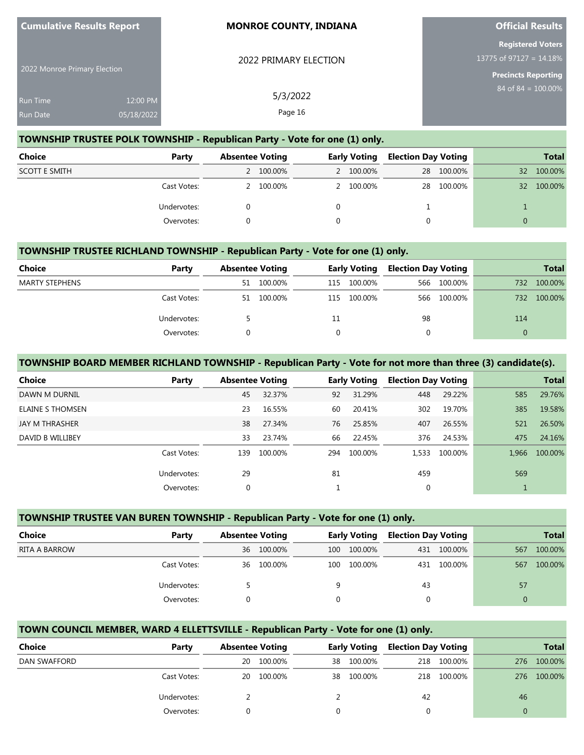| <b>Cumulative Results Report</b>   |                        | <b>MONROE COUNTY, INDIANA</b> | <b>Official Results</b>                                                           |
|------------------------------------|------------------------|-------------------------------|-----------------------------------------------------------------------------------|
| 2022 Monroe Primary Election       |                        | 2022 PRIMARY ELECTION         | <b>Registered Voters</b><br>13775 of 97127 = 14.18%<br><b>Precincts Reporting</b> |
| <b>Run Time</b><br><b>Run Date</b> | 12:00 PM<br>05/18/2022 | 5/3/2022<br>Page 16           | $84$ of $84 = 100.00\%$                                                           |

**Official Results**

#### **TOWNSHIP TRUSTEE POLK TOWNSHIP - Republican Party - Vote for one (1) only.**

**Cumulative Results Report**

| Choice               | Party       | <b>Absentee Voting</b> |           | Early Voting |           | <b>Election Day Voting</b> |            |                 | <b>Total</b> |
|----------------------|-------------|------------------------|-----------|--------------|-----------|----------------------------|------------|-----------------|--------------|
| <b>SCOTT E SMITH</b> |             |                        | 2 100.00% |              | 2 100.00% |                            | 28 100.00% | 32 <sup>2</sup> | 100.00%      |
|                      | Cast Votes: |                        | 2 100.00% |              | 2 100.00% |                            | 28 100.00% | 32 <sup>2</sup> | 100.00%      |
|                      | Undervotes: |                        |           |              |           |                            |            |                 |              |
|                      | Overvotes:  |                        |           |              |           |                            |            | $\Omega$        |              |

### **TOWNSHIP TRUSTEE RICHLAND TOWNSHIP - Republican Party - Vote for one (1) only.**

| <b>Choice</b>         | Party       | <b>Absentee Voting</b> |         |     | <b>Early Voting</b> |    | <b>Election Day Voting</b> |     | <b>Total</b> |
|-----------------------|-------------|------------------------|---------|-----|---------------------|----|----------------------------|-----|--------------|
| <b>MARTY STEPHENS</b> |             | 51                     | 100.00% | 115 | 100.00%             |    | 566 100.00%                | 732 | 100.00%      |
|                       | Cast Votes: | 51                     | 100.00% | 115 | 100.00%             |    | 566 100.00%                | 732 | 100.00%      |
|                       | Undervotes: |                        |         | 11  |                     | 98 |                            | 114 |              |
|                       | Overvotes:  |                        |         |     |                     |    |                            |     |              |

#### **TOWNSHIP BOARD MEMBER RICHLAND TOWNSHIP - Republican Party - Vote for not more than three (3) candidate(s).**

| Choice                | Party       | <b>Absentee Voting</b> |         |     | <b>Early Voting</b> | <b>Election Day Voting</b> |         |       | <b>Total</b> |
|-----------------------|-------------|------------------------|---------|-----|---------------------|----------------------------|---------|-------|--------------|
| DAWN M DURNIL         |             | 45                     | 32.37%  | 92  | 31.29%              | 448                        | 29.22%  | 585   | 29.76%       |
| ELAINE S THOMSEN      |             | 23                     | 16.55%  | 60  | 20.41%              | 302                        | 19.70%  | 385   | 19.58%       |
| <b>JAY M THRASHER</b> |             | 38                     | 27.34%  | 76  | 25.85%              | 407                        | 26.55%  | 521   | 26.50%       |
| DAVID B WILLIBEY      |             | 33                     | 23.74%  | 66  | 22.45%              | 376                        | 24.53%  | 475   | 24.16%       |
|                       | Cast Votes: | 139                    | 100.00% | 294 | 100.00%             | 1.533                      | 100.00% | 1.966 | 100.00%      |
|                       | Undervotes: | 29                     |         | 81  |                     | 459                        |         | 569   |              |
|                       | Overvotes:  | 0                      |         |     |                     |                            |         |       |              |

#### **TOWNSHIP TRUSTEE VAN BUREN TOWNSHIP - Republican Party - Vote for one (1) only.**

| <b>Choice</b> | Party       | <b>Absentee Voting</b> |         | <b>Early Voting</b> |         | <b>Election Day Voting</b> |         | <b>Total</b> |         |
|---------------|-------------|------------------------|---------|---------------------|---------|----------------------------|---------|--------------|---------|
| RITA A BARROW |             | 36                     | 100.00% | 100                 | 100.00% | 431                        | 100.00% | 567          | 100.00% |
|               | Cast Votes: | 36                     | 100.00% | 100                 | 100.00% | 431                        | 100.00% | 567          | 100.00% |
|               | Undervotes: |                        |         | 9                   |         | 43                         |         | 57           |         |
|               | Overvotes:  |                        |         |                     |         |                            |         | $\Omega$     |         |

### **TOWN COUNCIL MEMBER, WARD 4 ELLETTSVILLE - Republican Party - Vote for one (1) only.**

| <b>Choice</b> | Party       | <b>Absentee Voting</b> |         | <b>Early Voting</b> |         | <b>Election Day Voting</b> |         | <b>Total</b> |         |
|---------------|-------------|------------------------|---------|---------------------|---------|----------------------------|---------|--------------|---------|
| DAN SWAFFORD  |             | 20                     | 100.00% | 38                  | 100.00% | 218                        | 100.00% | 276          | 100.00% |
|               | Cast Votes: | 20                     | 100.00% | 38                  | 100.00% | 218                        | 100.00% | 276          | 100.00% |
|               | Undervotes: |                        |         |                     |         | 42                         |         | 46           |         |
|               | Overvotes:  |                        |         |                     |         |                            |         |              |         |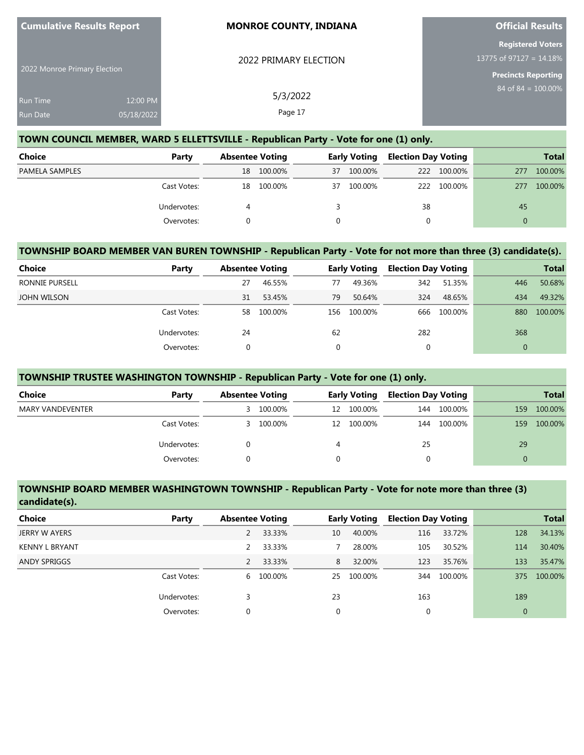| <b>Cumulative Results Report</b>   |                        | <b>MONROE COUNTY, INDIANA</b> | <b>Official Results</b>                                                           |  |  |
|------------------------------------|------------------------|-------------------------------|-----------------------------------------------------------------------------------|--|--|
| 2022 Monroe Primary Election       |                        | 2022 PRIMARY ELECTION         | <b>Registered Voters</b><br>13775 of 97127 = 14.18%<br><b>Precincts Reporting</b> |  |  |
| <b>Run Time</b><br><b>Run Date</b> | 12:00 PM<br>05/18/2022 | 5/3/2022<br>Page 17           | 84 of 84 = $\overline{100.00\%}$                                                  |  |  |

### **TOWN COUNCIL MEMBER, WARD 5 ELLETTSVILLE - Republican Party - Vote for one (1) only.**

| <b>Choice</b>  | Party       | <b>Absentee Voting</b> |         | <b>Early Voting</b> |         | <b>Election Day Voting</b> |             |          | <b>Total</b> |
|----------------|-------------|------------------------|---------|---------------------|---------|----------------------------|-------------|----------|--------------|
| PAMELA SAMPLES |             | 18                     | 100.00% | 37                  | 100.00% |                            | 222 100.00% | 277      | 100.00%      |
|                | Cast Votes: | 18                     | 100.00% | 37                  | 100.00% |                            | 222 100.00% | 277      | 100.00%      |
|                | Undervotes: |                        |         |                     |         | 38                         |             | 45       |              |
|                | Overvotes:  |                        |         |                     |         |                            |             | $\Omega$ |              |

### **TOWNSHIP BOARD MEMBER VAN BUREN TOWNSHIP - Republican Party - Vote for not more than three (3) candidate(s).**

| Choice                | Party       | <b>Absentee Voting</b> |         |             | <b>Early Voting</b> | <b>Election Day Voting</b> |         |     | <b>Total</b> |
|-----------------------|-------------|------------------------|---------|-------------|---------------------|----------------------------|---------|-----|--------------|
| <b>RONNIE PURSELL</b> |             | 27                     | 46.55%  | 77          | 49.36%              | 342                        | 51.35%  | 446 | 50.68%       |
| <b>JOHN WILSON</b>    |             | 31                     | 53.45%  | 79          | 50.64%              | 324                        | 48.65%  | 434 | 49.32%       |
|                       | Cast Votes: | 58                     | 100.00% | 156         | 100.00%             | 666                        | 100.00% | 880 | 100.00%      |
|                       | Undervotes: | 24                     |         | 62          |                     | 282                        |         | 368 |              |
|                       | Overvotes:  | 0                      |         | $\mathbf 0$ |                     | υ                          |         |     |              |

### **TOWNSHIP TRUSTEE WASHINGTON TOWNSHIP - Republican Party - Vote for one (1) only.**

| Choice           | Party       | <b>Absentee Voting</b> |         | <b>Early Voting</b> |         | <b>Election Day Voting</b> |         | <b>Total</b> |         |
|------------------|-------------|------------------------|---------|---------------------|---------|----------------------------|---------|--------------|---------|
| MARY VANDEVENTER |             | 3.                     | 100.00% | 12                  | 100.00% | 144                        | 100.00% | 159          | 100.00% |
|                  | Cast Votes: | 3.                     | 100.00% | 12                  | 100.00% | 144                        | 100.00% | 159          | 100.00% |
|                  | Undervotes: |                        |         |                     |         | 25                         |         | 29           |         |
|                  | Overvotes:  |                        |         |                     |         |                            |         | 0            |         |

#### **TOWNSHIP BOARD MEMBER WASHINGTOWN TOWNSHIP - Republican Party - Vote for note more than three (3) candidate(s).**

| <b>Choice</b>         | Party       | <b>Absentee Voting</b> |         |             | <b>Early Voting</b> | <b>Election Day Voting</b> |         |          | <b>Total</b> |
|-----------------------|-------------|------------------------|---------|-------------|---------------------|----------------------------|---------|----------|--------------|
| <b>JERRY W AYERS</b>  |             |                        | 33.33%  | 10          | 40.00%              | 116                        | 33.72%  | 128      | 34.13%       |
| <b>KENNY L BRYANT</b> |             | $\mathcal{P}$          | 33.33%  |             | 28.00%              | 105                        | 30.52%  | 114      | 30.40%       |
| <b>ANDY SPRIGGS</b>   |             | 2                      | 33.33%  | 8           | 32.00%              | 123                        | 35.76%  | 133      | 35.47%       |
|                       | Cast Votes: | 6                      | 100.00% | 25          | 100.00%             | 344                        | 100.00% | 375      | 100.00%      |
|                       | Undervotes: |                        |         | 23          |                     | 163                        |         | 189      |              |
|                       | Overvotes:  | $\mathbf 0$            |         | $\mathbf 0$ |                     | 0                          |         | $\Omega$ |              |